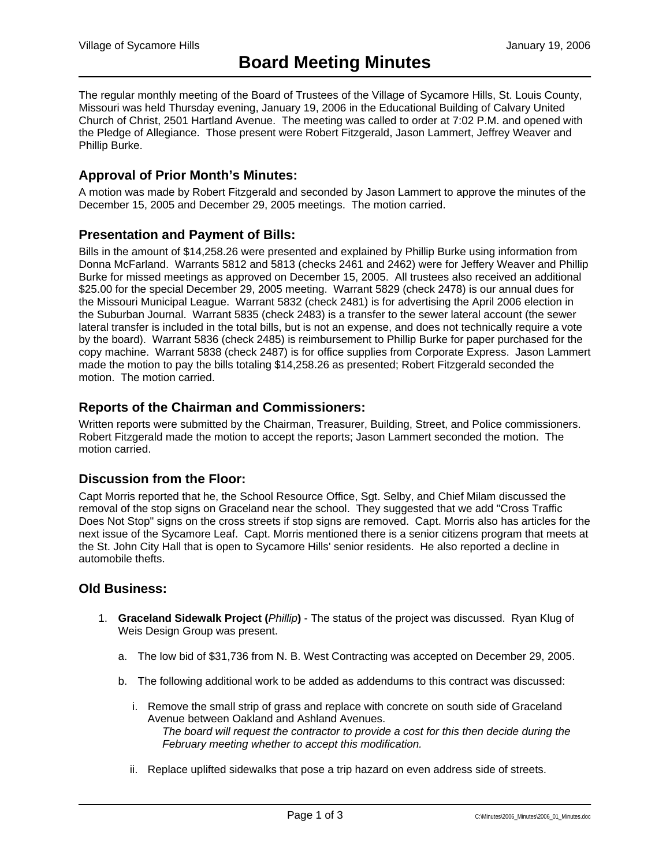The regular monthly meeting of the Board of Trustees of the Village of Sycamore Hills, St. Louis County, Missouri was held Thursday evening, January 19, 2006 in the Educational Building of Calvary United Church of Christ, 2501 Hartland Avenue. The meeting was called to order at 7:02 P.M. and opened with the Pledge of Allegiance. Those present were Robert Fitzgerald, Jason Lammert, Jeffrey Weaver and Phillip Burke.

### **Approval of Prior Month's Minutes:**

A motion was made by Robert Fitzgerald and seconded by Jason Lammert to approve the minutes of the December 15, 2005 and December 29, 2005 meetings. The motion carried.

#### **Presentation and Payment of Bills:**

Bills in the amount of \$14,258.26 were presented and explained by Phillip Burke using information from Donna McFarland. Warrants 5812 and 5813 (checks 2461 and 2462) were for Jeffery Weaver and Phillip Burke for missed meetings as approved on December 15, 2005. All trustees also received an additional \$25.00 for the special December 29, 2005 meeting. Warrant 5829 (check 2478) is our annual dues for the Missouri Municipal League. Warrant 5832 (check 2481) is for advertising the April 2006 election in the Suburban Journal. Warrant 5835 (check 2483) is a transfer to the sewer lateral account (the sewer lateral transfer is included in the total bills, but is not an expense, and does not technically require a vote by the board). Warrant 5836 (check 2485) is reimbursement to Phillip Burke for paper purchased for the copy machine. Warrant 5838 (check 2487) is for office supplies from Corporate Express. Jason Lammert made the motion to pay the bills totaling \$14,258.26 as presented; Robert Fitzgerald seconded the motion. The motion carried.

### **Reports of the Chairman and Commissioners:**

Written reports were submitted by the Chairman, Treasurer, Building, Street, and Police commissioners. Robert Fitzgerald made the motion to accept the reports; Jason Lammert seconded the motion. The motion carried.

#### **Discussion from the Floor:**

Capt Morris reported that he, the School Resource Office, Sgt. Selby, and Chief Milam discussed the removal of the stop signs on Graceland near the school. They suggested that we add "Cross Traffic Does Not Stop" signs on the cross streets if stop signs are removed. Capt. Morris also has articles for the next issue of the Sycamore Leaf. Capt. Morris mentioned there is a senior citizens program that meets at the St. John City Hall that is open to Sycamore Hills' senior residents. He also reported a decline in automobile thefts.

### **Old Business:**

- 1. **Graceland Sidewalk Project (***Phillip***)** The status of the project was discussed. Ryan Klug of Weis Design Group was present.
	- a. The low bid of \$31,736 from N. B. West Contracting was accepted on December 29, 2005.
	- b. The following additional work to be added as addendums to this contract was discussed:
		- i. Remove the small strip of grass and replace with concrete on south side of Graceland Avenue between Oakland and Ashland Avenues.

*The board will request the contractor to provide a cost for this then decide during the February meeting whether to accept this modification.* 

ii. Replace uplifted sidewalks that pose a trip hazard on even address side of streets.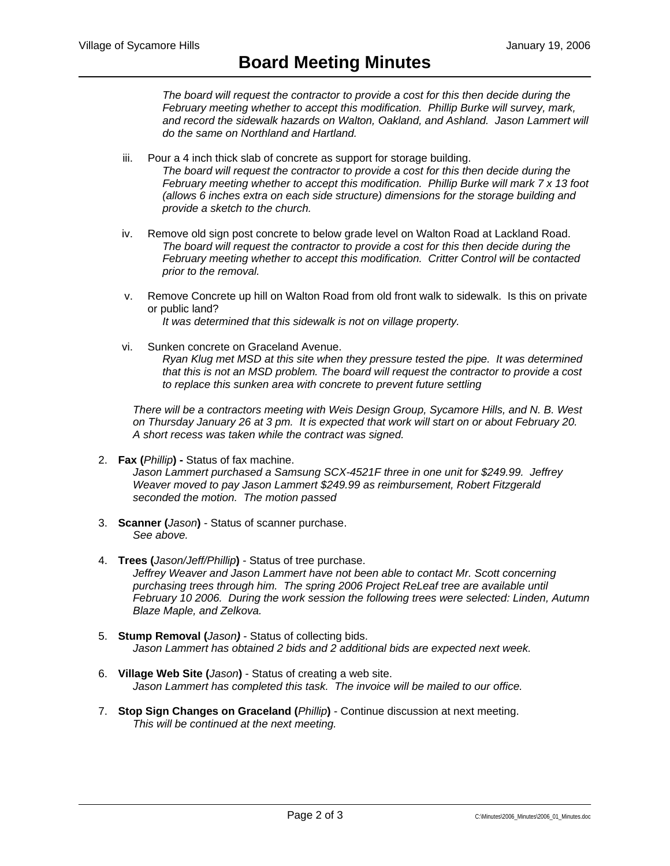*The board will request the contractor to provide a cost for this then decide during the February meeting whether to accept this modification. Phillip Burke will survey, mark, and record the sidewalk hazards on Walton, Oakland, and Ashland. Jason Lammert will do the same on Northland and Hartland.* 

- iii. Pour a 4 inch thick slab of concrete as support for storage building. *The board will request the contractor to provide a cost for this then decide during the February meeting whether to accept this modification. Phillip Burke will mark 7 x 13 foot (allows 6 inches extra on each side structure) dimensions for the storage building and provide a sketch to the church.*
- iv. Remove old sign post concrete to below grade level on Walton Road at Lackland Road. *The board will request the contractor to provide a cost for this then decide during the February meeting whether to accept this modification. Critter Control will be contacted prior to the removal.*
- v. Remove Concrete up hill on Walton Road from old front walk to sidewalk. Is this on private or public land?

*It was determined that this sidewalk is not on village property.* 

vi. Sunken concrete on Graceland Avenue. *Ryan Klug met MSD at this site when they pressure tested the pipe. It was determined that this is not an MSD problem. The board will request the contractor to provide a cost to replace this sunken area with concrete to prevent future settling* 

*There will be a contractors meeting with Weis Design Group, Sycamore Hills, and N. B. West on Thursday January 26 at 3 pm. It is expected that work will start on or about February 20. A short recess was taken while the contract was signed.* 

2. **Fax (***Phillip***) -** Status of fax machine.

*Jason Lammert purchased a Samsung SCX-4521F three in one unit for \$249.99. Jeffrey Weaver moved to pay Jason Lammert \$249.99 as reimbursement, Robert Fitzgerald seconded the motion. The motion passed* 

- 3. **Scanner (***Jason***)** Status of scanner purchase. *See above.*
- 4. **Trees (***Jason/Jeff/Phillip***)** Status of tree purchase. *Jeffrey Weaver and Jason Lammert have not been able to contact Mr. Scott concerning purchasing trees through him. The spring 2006 Project ReLeaf tree are available until February 10 2006. During the work session the following trees were selected: Linden, Autumn Blaze Maple, and Zelkova.*
- 5. **Stump Removal (***Jason)* Status of collecting bids. *Jason Lammert has obtained 2 bids and 2 additional bids are expected next week.*
- 6. **Village Web Site (***Jason***)** Status of creating a web site. *Jason Lammert has completed this task. The invoice will be mailed to our office.*
- 7. **Stop Sign Changes on Graceland (***Phillip***)** Continue discussion at next meeting. *This will be continued at the next meeting.*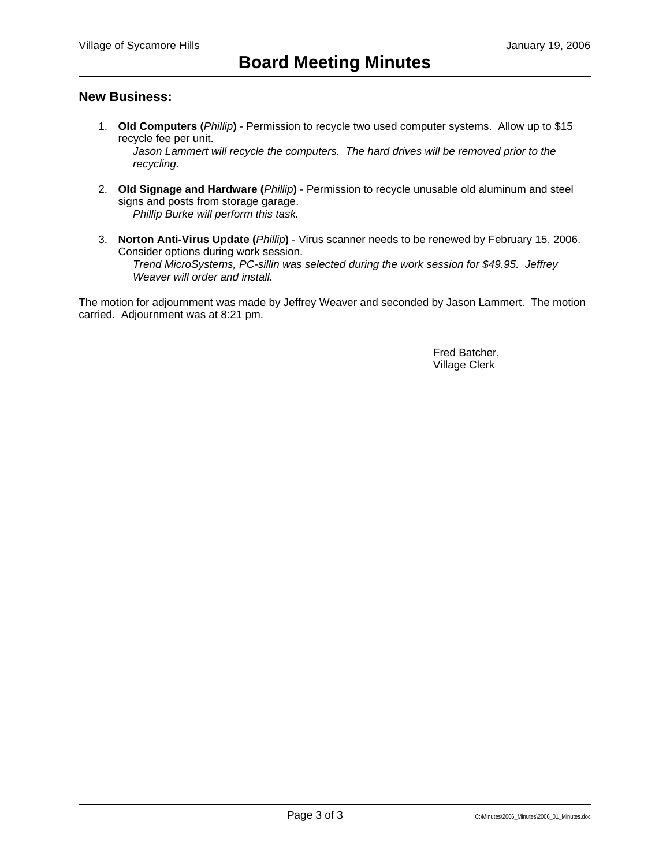## **New Business:**

1. **Old Computers (***Phillip***)** - Permission to recycle two used computer systems. Allow up to \$15 recycle fee per unit.

*Jason Lammert will recycle the computers. The hard drives will be removed prior to the recycling.* 

- 2. **Old Signage and Hardware (***Phillip***)** Permission to recycle unusable old aluminum and steel signs and posts from storage garage. *Phillip Burke will perform this task.*
- 3. **Norton Anti-Virus Update (***Phillip***)** Virus scanner needs to be renewed by February 15, 2006. Consider options during work session. *Trend MicroSystems, PC-sillin was selected during the work session for \$49.95. Jeffrey Weaver will order and install.*

The motion for adjournment was made by Jeffrey Weaver and seconded by Jason Lammert. The motion carried. Adjournment was at 8:21 pm.

> Fred Batcher, Village Clerk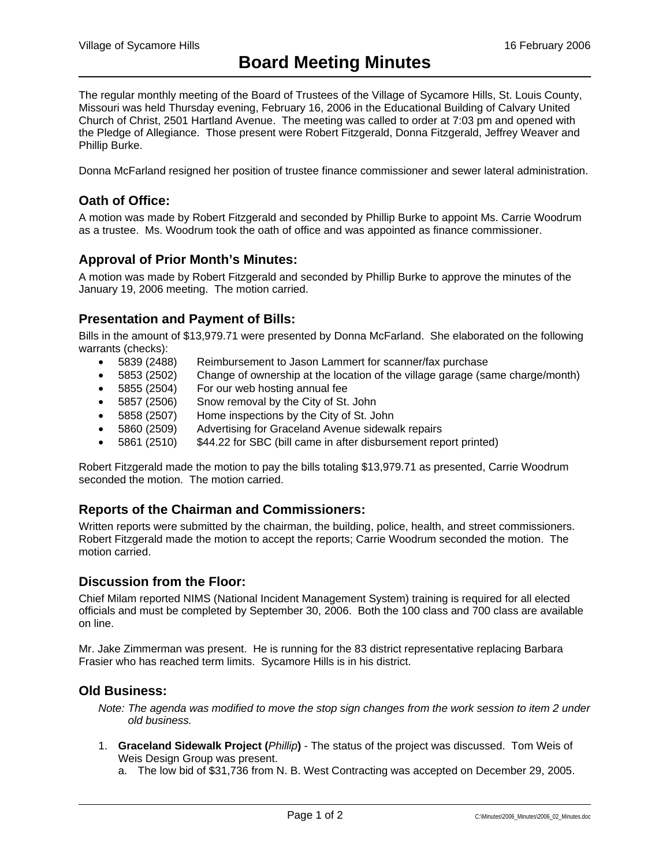The regular monthly meeting of the Board of Trustees of the Village of Sycamore Hills, St. Louis County, Missouri was held Thursday evening, February 16, 2006 in the Educational Building of Calvary United Church of Christ, 2501 Hartland Avenue. The meeting was called to order at 7:03 pm and opened with the Pledge of Allegiance. Those present were Robert Fitzgerald, Donna Fitzgerald, Jeffrey Weaver and Phillip Burke.

Donna McFarland resigned her position of trustee finance commissioner and sewer lateral administration.

## **Oath of Office:**

A motion was made by Robert Fitzgerald and seconded by Phillip Burke to appoint Ms. Carrie Woodrum as a trustee. Ms. Woodrum took the oath of office and was appointed as finance commissioner.

### **Approval of Prior Month's Minutes:**

A motion was made by Robert Fitzgerald and seconded by Phillip Burke to approve the minutes of the January 19, 2006 meeting. The motion carried.

### **Presentation and Payment of Bills:**

Bills in the amount of \$13,979.71 were presented by Donna McFarland. She elaborated on the following warrants (checks):

- 5839 (2488) Reimbursement to Jason Lammert for scanner/fax purchase
- 5853 (2502) Change of ownership at the location of the village garage (same charge/month)
- 5855 (2504) For our web hosting annual fee
- 5857 (2506) Snow removal by the City of St. John
- 5858 (2507) Home inspections by the City of St. John
- 5860 (2509) Advertising for Graceland Avenue sidewalk repairs
- 5861 (2510) \$44.22 for SBC (bill came in after disbursement report printed)

Robert Fitzgerald made the motion to pay the bills totaling \$13,979.71 as presented, Carrie Woodrum seconded the motion. The motion carried.

#### **Reports of the Chairman and Commissioners:**

Written reports were submitted by the chairman, the building, police, health, and street commissioners. Robert Fitzgerald made the motion to accept the reports; Carrie Woodrum seconded the motion. The motion carried.

#### **Discussion from the Floor:**

Chief Milam reported NIMS (National Incident Management System) training is required for all elected officials and must be completed by September 30, 2006. Both the 100 class and 700 class are available on line.

Mr. Jake Zimmerman was present. He is running for the 83 district representative replacing Barbara Frasier who has reached term limits. Sycamore Hills is in his district.

#### **Old Business:**

*Note: The agenda was modified to move the stop sign changes from the work session to item 2 under old business.* 

- 1. **Graceland Sidewalk Project (***Phillip***)** The status of the project was discussed. Tom Weis of Weis Design Group was present.
	- a. The low bid of \$31,736 from N. B. West Contracting was accepted on December 29, 2005.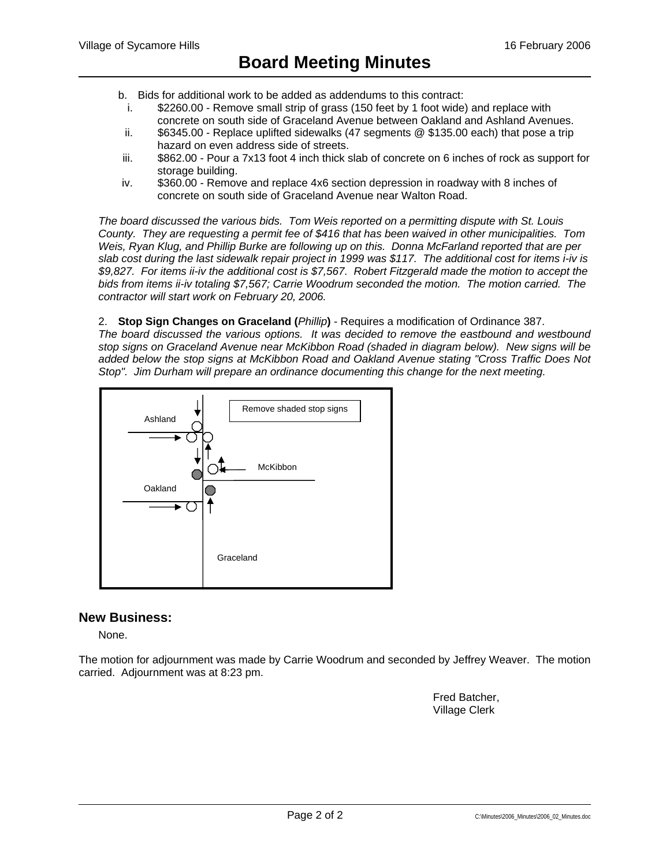- b. Bids for additional work to be added as addendums to this contract:
	- i. \$2260.00 Remove small strip of grass (150 feet by 1 foot wide) and replace with concrete on south side of Graceland Avenue between Oakland and Ashland Avenues.
- ii. \$6345.00 Replace uplifted sidewalks (47 segments @ \$135.00 each) that pose a trip hazard on even address side of streets.
- iii. \$862.00 Pour a 7x13 foot 4 inch thick slab of concrete on 6 inches of rock as support for storage building.
- iv. \$360.00 Remove and replace 4x6 section depression in roadway with 8 inches of concrete on south side of Graceland Avenue near Walton Road.

*The board discussed the various bids. Tom Weis reported on a permitting dispute with St. Louis County. They are requesting a permit fee of \$416 that has been waived in other municipalities. Tom Weis, Ryan Klug, and Phillip Burke are following up on this. Donna McFarland reported that are per slab cost during the last sidewalk repair project in 1999 was \$117. The additional cost for items i-iv is \$9,827. For items ii-iv the additional cost is \$7,567. Robert Fitzgerald made the motion to accept the bids from items ii-iv totaling \$7,567; Carrie Woodrum seconded the motion. The motion carried. The contractor will start work on February 20, 2006.* 

2. **Stop Sign Changes on Graceland (***Phillip***)** - Requires a modification of Ordinance 387.

*The board discussed the various options. It was decided to remove the eastbound and westbound stop signs on Graceland Avenue near McKibbon Road (shaded in diagram below). New signs will be added below the stop signs at McKibbon Road and Oakland Avenue stating "Cross Traffic Does Not Stop". Jim Durham will prepare an ordinance documenting this change for the next meeting.* 



## **New Business:**

None.

The motion for adjournment was made by Carrie Woodrum and seconded by Jeffrey Weaver. The motion carried. Adjournment was at 8:23 pm.

> Fred Batcher, Village Clerk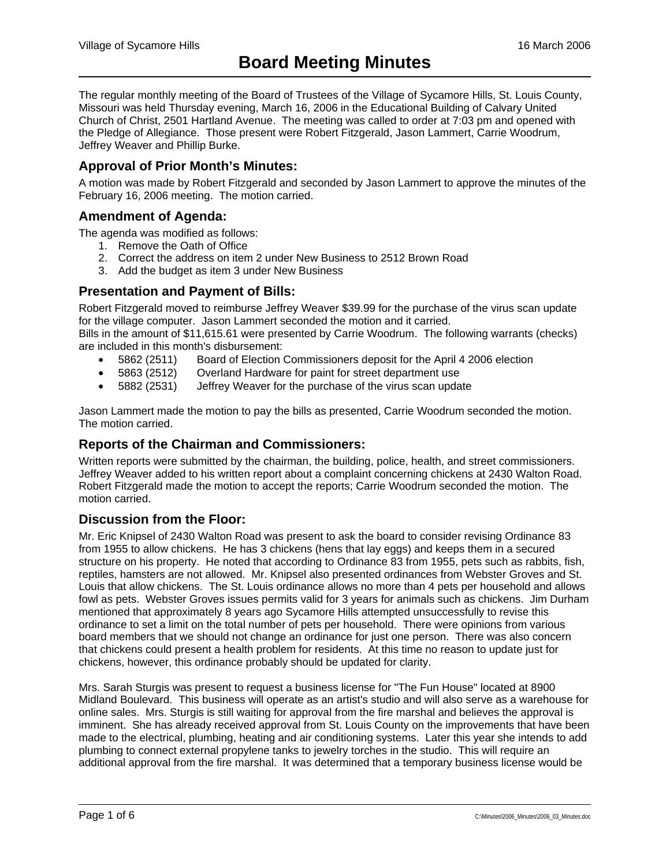The regular monthly meeting of the Board of Trustees of the Village of Sycamore Hills, St. Louis County, Missouri was held Thursday evening, March 16, 2006 in the Educational Building of Calvary United Church of Christ, 2501 Hartland Avenue. The meeting was called to order at 7:03 pm and opened with the Pledge of Allegiance. Those present were Robert Fitzgerald, Jason Lammert, Carrie Woodrum, Jeffrey Weaver and Phillip Burke.

## **Approval of Prior Month's Minutes:**

A motion was made by Robert Fitzgerald and seconded by Jason Lammert to approve the minutes of the February 16, 2006 meeting. The motion carried.

## **Amendment of Agenda:**

The agenda was modified as follows:

- 1. Remove the Oath of Office
- 2. Correct the address on item 2 under New Business to 2512 Brown Road
- 3. Add the budget as item 3 under New Business

## **Presentation and Payment of Bills:**

Robert Fitzgerald moved to reimburse Jeffrey Weaver \$39.99 for the purchase of the virus scan update for the village computer. Jason Lammert seconded the motion and it carried.

Bills in the amount of \$11,615.61 were presented by Carrie Woodrum. The following warrants (checks) are included in this month's disbursement:

- 5862 (2511) Board of Election Commissioners deposit for the April 4 2006 election
- 
- 5863 (2512) Overland Hardware for paint for street department use<br>• 5882 (2531) Jeffrey Weaver for the purchase of the virus scan upda • 5882 (2531) Jeffrey Weaver for the purchase of the virus scan update

Jason Lammert made the motion to pay the bills as presented, Carrie Woodrum seconded the motion. The motion carried.

## **Reports of the Chairman and Commissioners:**

Written reports were submitted by the chairman, the building, police, health, and street commissioners. Jeffrey Weaver added to his written report about a complaint concerning chickens at 2430 Walton Road. Robert Fitzgerald made the motion to accept the reports; Carrie Woodrum seconded the motion. The motion carried.

## **Discussion from the Floor:**

Mr. Eric Knipsel of 2430 Walton Road was present to ask the board to consider revising Ordinance 83 from 1955 to allow chickens. He has 3 chickens (hens that lay eggs) and keeps them in a secured structure on his property. He noted that according to Ordinance 83 from 1955, pets such as rabbits, fish, reptiles, hamsters are not allowed. Mr. Knipsel also presented ordinances from Webster Groves and St. Louis that allow chickens. The St. Louis ordinance allows no more than 4 pets per household and allows fowl as pets. Webster Groves issues permits valid for 3 years for animals such as chickens. Jim Durham mentioned that approximately 8 years ago Sycamore Hills attempted unsuccessfully to revise this ordinance to set a limit on the total number of pets per household. There were opinions from various board members that we should not change an ordinance for just one person. There was also concern that chickens could present a health problem for residents. At this time no reason to update just for chickens, however, this ordinance probably should be updated for clarity.

Mrs. Sarah Sturgis was present to request a business license for "The Fun House" located at 8900 Midland Boulevard. This business will operate as an artist's studio and will also serve as a warehouse for online sales. Mrs. Sturgis is still waiting for approval from the fire marshal and believes the approval is imminent. She has already received approval from St. Louis County on the improvements that have been made to the electrical, plumbing, heating and air conditioning systems. Later this year she intends to add plumbing to connect external propylene tanks to jewelry torches in the studio. This will require an additional approval from the fire marshal. It was determined that a temporary business license would be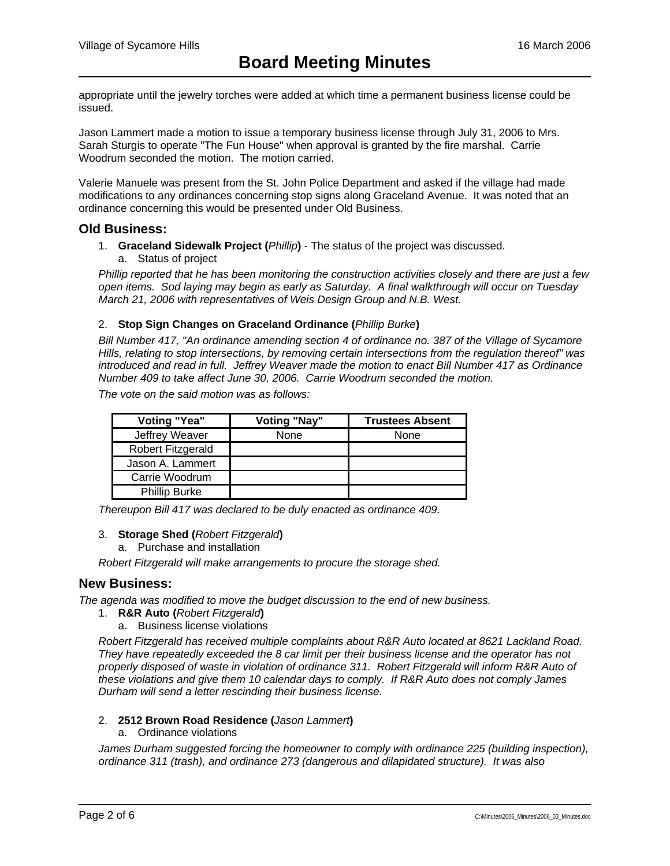appropriate until the jewelry torches were added at which time a permanent business license could be issued.

Jason Lammert made a motion to issue a temporary business license through July 31, 2006 to Mrs. Sarah Sturgis to operate "The Fun House" when approval is granted by the fire marshal. Carrie Woodrum seconded the motion. The motion carried.

Valerie Manuele was present from the St. John Police Department and asked if the village had made modifications to any ordinances concerning stop signs along Graceland Avenue. It was noted that an ordinance concerning this would be presented under Old Business.

#### **Old Business:**

- 1. **Graceland Sidewalk Project (***Phillip***)** The status of the project was discussed.
	- a. Status of project

*Phillip reported that he has been monitoring the construction activities closely and there are just a few open items. Sod laying may begin as early as Saturday. A final walkthrough will occur on Tuesday March 21, 2006 with representatives of Weis Design Group and N.B. West.* 

#### 2. **Stop Sign Changes on Graceland Ordinance (***Phillip Burke***)**

*Bill Number 417, "An ordinance amending section 4 of ordinance no. 387 of the Village of Sycamore Hills, relating to stop intersections, by removing certain intersections from the regulation thereof" was introduced and read in full. Jeffrey Weaver made the motion to enact Bill Number 417 as Ordinance Number 409 to take affect June 30, 2006. Carrie Woodrum seconded the motion.* 

*The vote on the said motion was as follows:* 

| <b>Voting "Yea"</b>  | <b>Voting "Nay"</b> | <b>Trustees Absent</b> |
|----------------------|---------------------|------------------------|
| Jeffrey Weaver       | None                | None                   |
| Robert Fitzgerald    |                     |                        |
| Jason A. Lammert     |                     |                        |
| Carrie Woodrum       |                     |                        |
| <b>Phillip Burke</b> |                     |                        |

*Thereupon Bill 417 was declared to be duly enacted as ordinance 409.* 

#### 3. **Storage Shed (***Robert Fitzgerald***)**

a. Purchase and installation

*Robert Fitzgerald will make arrangements to procure the storage shed.* 

#### **New Business:**

*The agenda was modified to move the budget discussion to the end of new business.*

- 1. **R&R Auto (***Robert Fitzgerald***)**
	- a. Business license violations

*Robert Fitzgerald has received multiple complaints about R&R Auto located at 8621 Lackland Road. They have repeatedly exceeded the 8 car limit per their business license and the operator has not properly disposed of waste in violation of ordinance 311. Robert Fitzgerald will inform R&R Auto of these violations and give them 10 calendar days to comply. If R&R Auto does not comply James Durham will send a letter rescinding their business license.* 

#### 2. **2512 Brown Road Residence (***Jason Lammert***)**

#### a. Ordinance violations

James Durham suggested forcing the homeowner to comply with ordinance 225 (building inspection), *ordinance 311 (trash), and ordinance 273 (dangerous and dilapidated structure). It was also*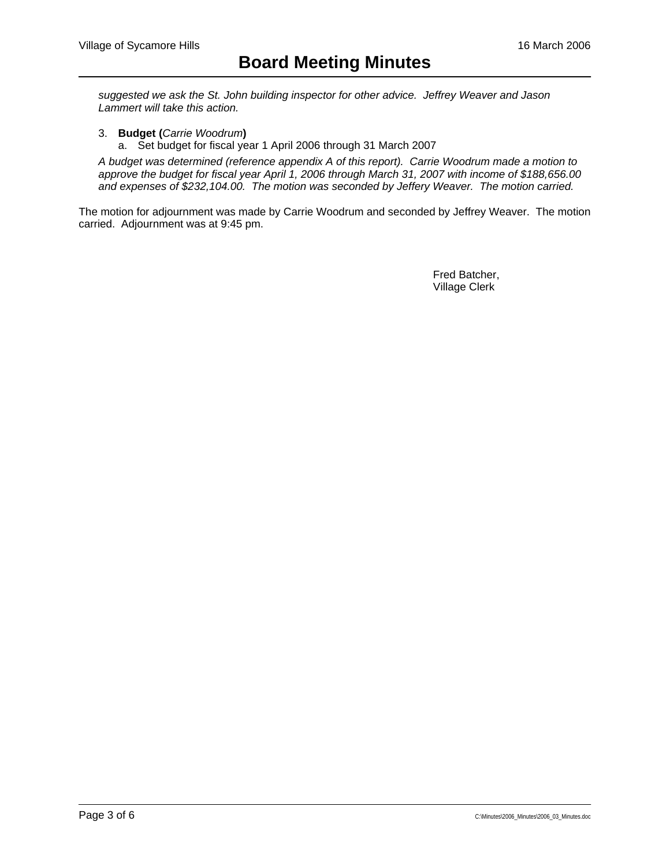*suggested we ask the St. John building inspector for other advice. Jeffrey Weaver and Jason Lammert will take this action.* 

- 3. **Budget (***Carrie Woodrum***)**
	- a. Set budget for fiscal year 1 April 2006 through 31 March 2007

*A budget was determined (reference appendix A of this report). Carrie Woodrum made a motion to approve the budget for fiscal year April 1, 2006 through March 31, 2007 with income of \$188,656.00 and expenses of \$232,104.00. The motion was seconded by Jeffery Weaver. The motion carried.* 

The motion for adjournment was made by Carrie Woodrum and seconded by Jeffrey Weaver. The motion carried. Adjournment was at 9:45 pm.

> Fred Batcher, Village Clerk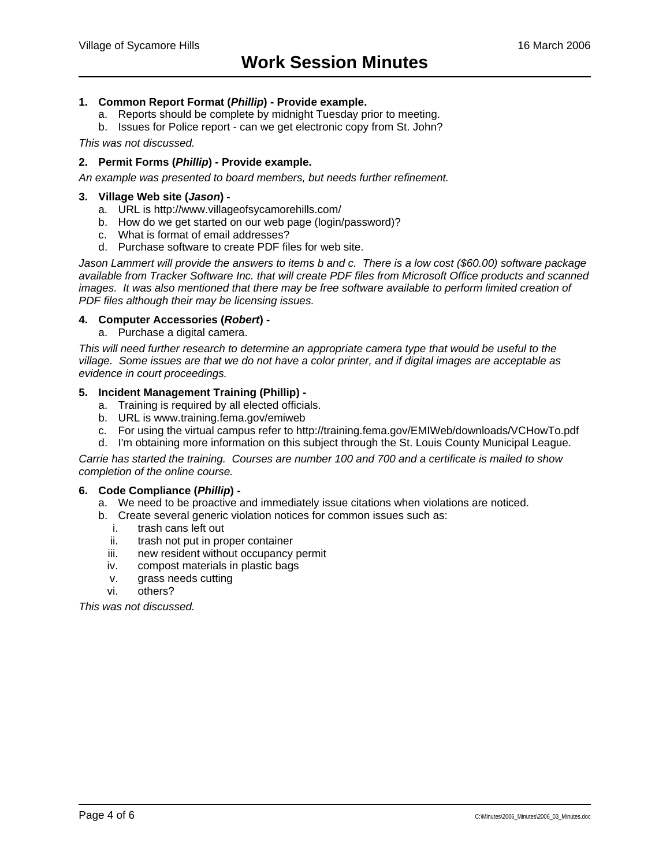#### **1. Common Report Format (***Phillip***) - Provide example.**

- a. Reports should be complete by midnight Tuesday prior to meeting.
- b. Issues for Police report can we get electronic copy from St. John?

*This was not discussed.* 

#### **2. Permit Forms (***Phillip***) - Provide example.**

*An example was presented to board members, but needs further refinement.* 

#### **3. Village Web site (***Jason***) -**

- a. URL is http://www.villageofsycamorehills.com/
- b. How do we get started on our web page (login/password)?
- c. What is format of email addresses?
- d. Purchase software to create PDF files for web site.

*Jason Lammert will provide the answers to items b and c. There is a low cost (\$60.00) software package available from Tracker Software Inc. that will create PDF files from Microsoft Office products and scanned images. It was also mentioned that there may be free software available to perform limited creation of PDF files although their may be licensing issues.* 

#### **4. Computer Accessories (***Robert***) -**

a. Purchase a digital camera.

*This will need further research to determine an appropriate camera type that would be useful to the village. Some issues are that we do not have a color printer, and if digital images are acceptable as evidence in court proceedings.* 

#### **5. Incident Management Training (Phillip) -**

- a. Training is required by all elected officials.
- b. URL is www.training.fema.gov/emiweb
- c. For using the virtual campus refer to http://training.fema.gov/EMIWeb/downloads/VCHowTo.pdf
- d. I'm obtaining more information on this subject through the St. Louis County Municipal League.

*Carrie has started the training. Courses are number 100 and 700 and a certificate is mailed to show completion of the online course.* 

#### **6. Code Compliance (***Phillip***) -**

- a. We need to be proactive and immediately issue citations when violations are noticed.
- b. Create several generic violation notices for common issues such as:
	- i. trash cans left out
	- ii. trash not put in proper container
	- iii. new resident without occupancy permit
	- iv. compost materials in plastic bags
	- v. grass needs cutting
	- vi. others?

*This was not discussed.*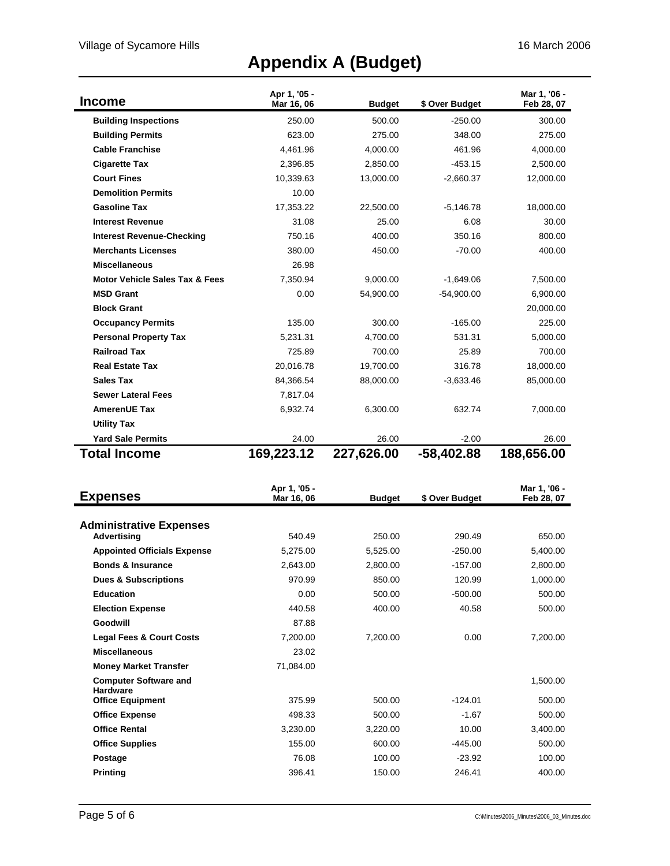# **Appendix A (Budget)**

| <b>Income</b>                             | Apr 1, '05 -<br>Mar 16, 06 | <b>Budget</b> | \$ Over Budget | Mar 1, '06 -<br>Feb 28, 07 |
|-------------------------------------------|----------------------------|---------------|----------------|----------------------------|
| <b>Building Inspections</b>               | 250.00                     | 500.00        | $-250.00$      | 300.00                     |
| <b>Building Permits</b>                   | 623.00                     | 275.00        | 348.00         | 275.00                     |
| <b>Cable Franchise</b>                    | 4,461.96                   | 4,000.00      | 461.96         | 4,000.00                   |
| <b>Cigarette Tax</b>                      | 2,396.85                   | 2,850.00      | $-453.15$      | 2,500.00                   |
| <b>Court Fines</b>                        | 10,339.63                  | 13,000.00     | $-2,660.37$    | 12,000.00                  |
| <b>Demolition Permits</b>                 | 10.00                      |               |                |                            |
| <b>Gasoline Tax</b>                       | 17,353.22                  | 22,500.00     | $-5,146.78$    | 18,000.00                  |
| <b>Interest Revenue</b>                   | 31.08                      | 25.00         | 6.08           | 30.00                      |
| <b>Interest Revenue-Checking</b>          | 750.16                     | 400.00        | 350.16         | 800.00                     |
| <b>Merchants Licenses</b>                 | 380.00                     | 450.00        | $-70.00$       | 400.00                     |
| <b>Miscellaneous</b>                      | 26.98                      |               |                |                            |
| <b>Motor Vehicle Sales Tax &amp; Fees</b> | 7,350.94                   | 9,000.00      | $-1,649.06$    | 7,500.00                   |
| <b>MSD Grant</b>                          | 0.00                       | 54,900.00     | $-54,900.00$   | 6,900.00                   |
| <b>Block Grant</b>                        |                            |               |                | 20,000.00                  |
| <b>Occupancy Permits</b>                  | 135.00                     | 300.00        | $-165.00$      | 225.00                     |
| <b>Personal Property Tax</b>              | 5.231.31                   | 4,700.00      | 531.31         | 5,000.00                   |
| <b>Railroad Tax</b>                       | 725.89                     | 700.00        | 25.89          | 700.00                     |
| <b>Real Estate Tax</b>                    | 20.016.78                  | 19,700.00     | 316.78         | 18,000.00                  |
| <b>Sales Tax</b>                          | 84,366.54                  | 88,000.00     | $-3,633.46$    | 85,000.00                  |
| <b>Sewer Lateral Fees</b>                 | 7,817.04                   |               |                |                            |
| <b>AmerenUE Tax</b>                       | 6,932.74                   | 6,300.00      | 632.74         | 7,000.00                   |
| <b>Utility Tax</b>                        |                            |               |                |                            |
| <b>Yard Sale Permits</b>                  | 24.00                      | 26.00         | $-2.00$        | 26.00                      |
| <b>Total Income</b>                       | 169,223.12                 | 227,626.00    | -58,402.88     | 188,656.00                 |

| <b>Expenses</b>                                 | Apr 1, '05 -<br>Mar 16, 06 | <b>Budget</b> | \$ Over Budget | Mar 1, '06 -<br>Feb 28, 07 |
|-------------------------------------------------|----------------------------|---------------|----------------|----------------------------|
|                                                 |                            |               |                |                            |
| <b>Administrative Expenses</b>                  |                            |               |                |                            |
| Advertising                                     | 540.49                     | 250.00        | 290.49         | 650.00                     |
| <b>Appointed Officials Expense</b>              | 5.275.00                   | 5,525.00      | $-250.00$      | 5,400.00                   |
| <b>Bonds &amp; Insurance</b>                    | 2,643.00                   | 2,800.00      | $-157.00$      | 2,800.00                   |
| <b>Dues &amp; Subscriptions</b>                 | 970.99                     | 850.00        | 120.99         | 1,000.00                   |
| <b>Education</b>                                | 0.00                       | 500.00        | $-500.00$      | 500.00                     |
| <b>Election Expense</b>                         | 440.58                     | 400.00        | 40.58          | 500.00                     |
| Goodwill                                        | 87.88                      |               |                |                            |
| <b>Legal Fees &amp; Court Costs</b>             | 7,200.00                   | 7,200.00      | 0.00           | 7,200.00                   |
| <b>Miscellaneous</b>                            | 23.02                      |               |                |                            |
| <b>Money Market Transfer</b>                    | 71.084.00                  |               |                |                            |
| <b>Computer Software and</b><br><b>Hardware</b> |                            |               |                | 1,500.00                   |
| <b>Office Equipment</b>                         | 375.99                     | 500.00        | $-124.01$      | 500.00                     |
| <b>Office Expense</b>                           | 498.33                     | 500.00        | $-1.67$        | 500.00                     |
| <b>Office Rental</b>                            | 3,230.00                   | 3,220.00      | 10.00          | 3,400.00                   |
| <b>Office Supplies</b>                          | 155.00                     | 600.00        | $-445.00$      | 500.00                     |
| <b>Postage</b>                                  | 76.08                      | 100.00        | $-23.92$       | 100.00                     |
| <b>Printing</b>                                 | 396.41                     | 150.00        | 246.41         | 400.00                     |
|                                                 |                            |               |                |                            |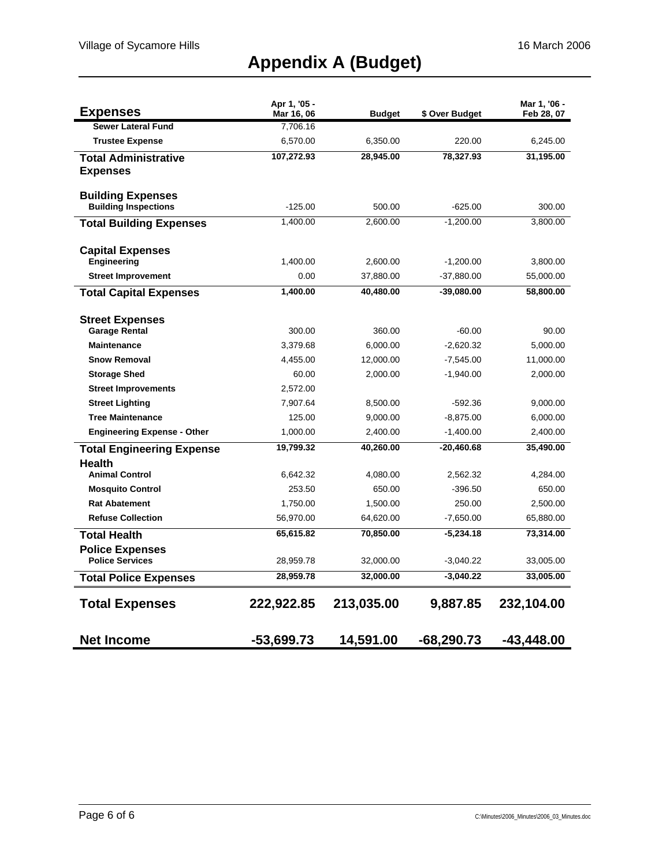# **Appendix A (Budget)**

| <b>Expenses</b>                                         | Apr 1, '05 -<br>Mar 16, 06 | <b>Budget</b> | \$ Over Budget | Mar 1, '06 -<br>Feb 28, 07 |
|---------------------------------------------------------|----------------------------|---------------|----------------|----------------------------|
| <b>Sewer Lateral Fund</b>                               | 7,706.16                   |               |                |                            |
| <b>Trustee Expense</b>                                  | 6,570.00                   | 6,350.00      | 220.00         | 6,245.00                   |
| <b>Total Administrative</b>                             | 107,272.93                 | 28,945.00     | 78,327.93      | 31,195.00                  |
| <b>Expenses</b>                                         |                            |               |                |                            |
|                                                         |                            |               |                |                            |
| <b>Building Expenses</b><br><b>Building Inspections</b> | $-125.00$                  | 500.00        | $-625.00$      | 300.00                     |
|                                                         | 1,400.00                   | 2,600.00      | $-1,200.00$    | 3,800.00                   |
| <b>Total Building Expenses</b>                          |                            |               |                |                            |
| <b>Capital Expenses</b>                                 |                            |               |                |                            |
| <b>Engineering</b>                                      | 1,400.00                   | 2,600.00      | $-1,200.00$    | 3,800.00                   |
| <b>Street Improvement</b>                               | 0.00                       | 37,880.00     | $-37,880.00$   | 55,000.00                  |
| <b>Total Capital Expenses</b>                           | 1,400.00                   | 40,480.00     | $-39,080.00$   | 58,800.00                  |
|                                                         |                            |               |                |                            |
| <b>Street Expenses</b>                                  |                            |               |                |                            |
| <b>Garage Rental</b>                                    | 300.00                     | 360.00        | $-60.00$       | 90.00                      |
| <b>Maintenance</b>                                      | 3,379.68                   | 6,000.00      | $-2,620.32$    | 5,000.00                   |
| <b>Snow Removal</b>                                     | 4,455.00                   | 12,000.00     | $-7,545.00$    | 11,000.00                  |
| <b>Storage Shed</b>                                     | 60.00                      | 2,000.00      | $-1,940.00$    | 2,000.00                   |
| <b>Street Improvements</b>                              | 2,572.00                   |               |                |                            |
| <b>Street Lighting</b>                                  | 7,907.64                   | 8,500.00      | -592.36        | 9,000.00                   |
| <b>Tree Maintenance</b>                                 | 125.00                     | 9,000.00      | $-8,875.00$    | 6,000.00                   |
| <b>Engineering Expense - Other</b>                      | 1,000.00                   | 2,400.00      | $-1,400.00$    | 2,400.00                   |
| <b>Total Engineering Expense</b>                        | 19,799.32                  | 40,260.00     | $-20,460.68$   | 35,490.00                  |
| Health                                                  |                            |               |                |                            |
| <b>Animal Control</b>                                   | 6,642.32                   | 4,080.00      | 2,562.32       | 4,284.00                   |
| <b>Mosquito Control</b>                                 | 253.50                     | 650.00        | $-396.50$      | 650.00                     |
| <b>Rat Abatement</b>                                    | 1,750.00                   | 1,500.00      | 250.00         | 2,500.00                   |
| <b>Refuse Collection</b>                                | 56,970.00                  | 64,620.00     | $-7,650.00$    | 65,880.00                  |
| <b>Total Health</b>                                     | 65,615.82                  | 70,850.00     | $-5,234.18$    | 73,314.00                  |
| <b>Police Expenses</b><br><b>Police Services</b>        |                            |               |                |                            |
|                                                         | 28,959.78                  | 32,000.00     | -3,040.22      | 33,005.00                  |
| <b>Total Police Expenses</b>                            | 28,959.78                  | 32,000.00     | $-3,040.22$    | 33,005.00                  |
| <b>Total Expenses</b>                                   | 222,922.85                 | 213,035.00    | 9,887.85       | 232,104.00                 |
| <b>Net Income</b>                                       | -53,699.73                 | 14,591.00     | $-68,290.73$   | -43.448.00                 |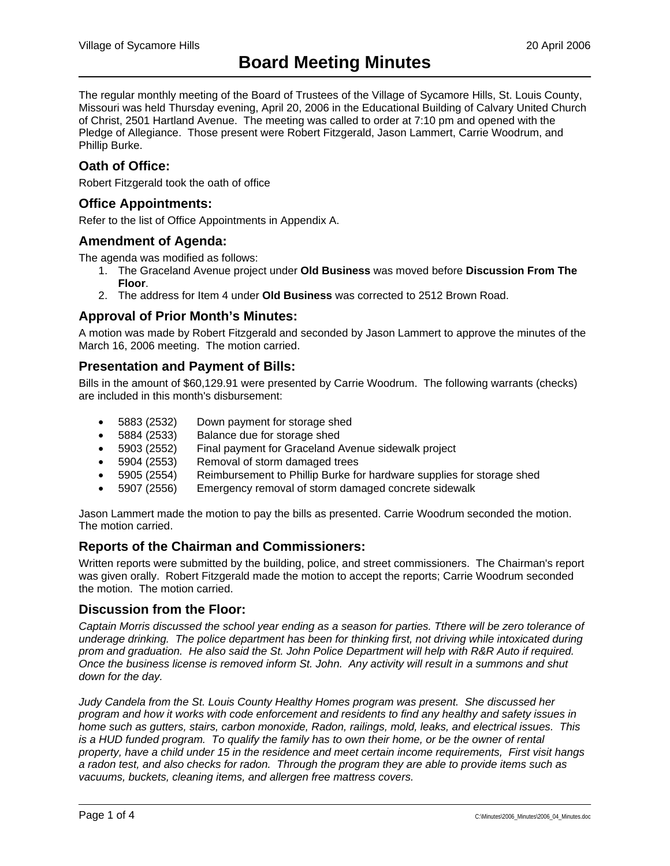The regular monthly meeting of the Board of Trustees of the Village of Sycamore Hills, St. Louis County, Missouri was held Thursday evening, April 20, 2006 in the Educational Building of Calvary United Church of Christ, 2501 Hartland Avenue. The meeting was called to order at 7:10 pm and opened with the Pledge of Allegiance. Those present were Robert Fitzgerald, Jason Lammert, Carrie Woodrum, and Phillip Burke.

## **Oath of Office:**

Robert Fitzgerald took the oath of office

## **Office Appointments:**

Refer to the list of Office Appointments in Appendix A.

### **Amendment of Agenda:**

The agenda was modified as follows:

- 1. The Graceland Avenue project under **Old Business** was moved before **Discussion From The Floor**.
- 2. The address for Item 4 under **Old Business** was corrected to 2512 Brown Road.

## **Approval of Prior Month's Minutes:**

A motion was made by Robert Fitzgerald and seconded by Jason Lammert to approve the minutes of the March 16, 2006 meeting. The motion carried.

## **Presentation and Payment of Bills:**

Bills in the amount of \$60,129.91 were presented by Carrie Woodrum. The following warrants (checks) are included in this month's disbursement:

- 5883 (2532) Down payment for storage shed
- 5884 (2533) Balance due for storage shed
- 5903 (2552) Final payment for Graceland Avenue sidewalk project
- 5904 (2553) Removal of storm damaged trees
- 5905 (2554) Reimbursement to Phillip Burke for hardware supplies for storage shed
- 5907 (2556) Emergency removal of storm damaged concrete sidewalk

Jason Lammert made the motion to pay the bills as presented. Carrie Woodrum seconded the motion. The motion carried.

## **Reports of the Chairman and Commissioners:**

Written reports were submitted by the building, police, and street commissioners. The Chairman's report was given orally. Robert Fitzgerald made the motion to accept the reports; Carrie Woodrum seconded the motion. The motion carried.

## **Discussion from the Floor:**

*Captain Morris discussed the school year ending as a season for parties. Tthere will be zero tolerance of underage drinking. The police department has been for thinking first, not driving while intoxicated during prom and graduation. He also said the St. John Police Department will help with R&R Auto if required. Once the business license is removed inform St. John. Any activity will result in a summons and shut down for the day.* 

*Judy Candela from the St. Louis County Healthy Homes program was present. She discussed her program and how it works with code enforcement and residents to find any healthy and safety issues in home such as gutters, stairs, carbon monoxide, Radon, railings, mold, leaks, and electrical issues. This*  is a HUD funded program. To qualify the family has to own their home, or be the owner of rental *property, have a child under 15 in the residence and meet certain income requirements, First visit hangs a radon test, and also checks for radon. Through the program they are able to provide items such as vacuums, buckets, cleaning items, and allergen free mattress covers.*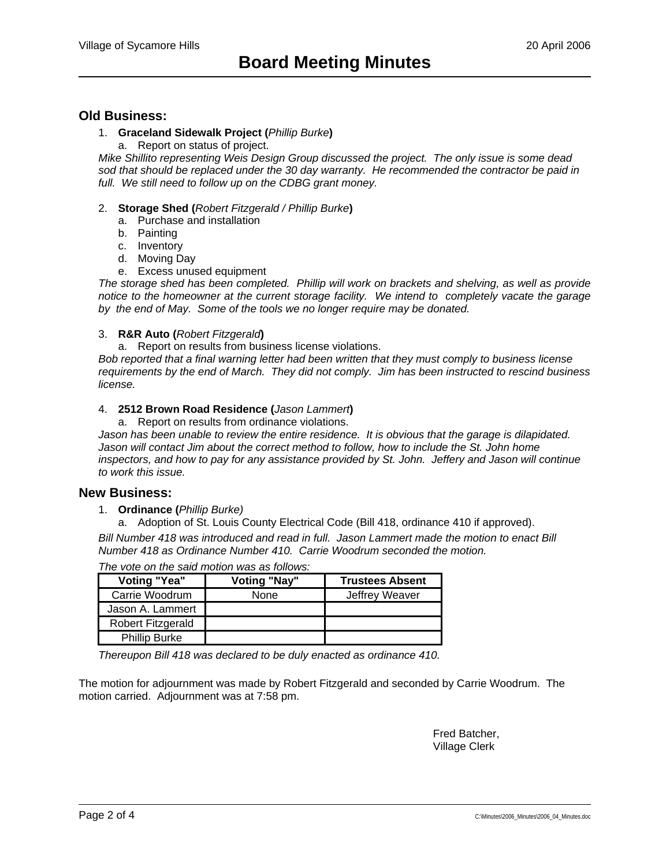#### **Old Business:**

#### 1. **Graceland Sidewalk Project (***Phillip Burke***)**

a. Report on status of project.

*Mike Shillito representing Weis Design Group discussed the project. The only issue is some dead sod that should be replaced under the 30 day warranty. He recommended the contractor be paid in*  full. We still need to follow up on the CDBG grant money.

- 2. **Storage Shed (***Robert Fitzgerald / Phillip Burke***)**
	- a. Purchase and installation
	- b. Painting
	- c. Inventory
	- d. Moving Day
	- e. Excess unused equipment

*The storage shed has been completed. Phillip will work on brackets and shelving, as well as provide notice to the homeowner at the current storage facility. We intend to completely vacate the garage by the end of May. Some of the tools we no longer require may be donated.* 

#### 3. **R&R Auto (***Robert Fitzgerald***)**

a. Report on results from business license violations.

*Bob reported that a final warning letter had been written that they must comply to business license requirements by the end of March. They did not comply. Jim has been instructed to rescind business license.* 

#### 4. **2512 Brown Road Residence (***Jason Lammert***)**

a. Report on results from ordinance violations.

Jason has been unable to review the entire residence. It is obvious that the garage is dilapidated. Jason will contact Jim about the correct method to follow, how to include the St. John home inspectors, and how to pay for any assistance provided by St. John. Jeffery and Jason will continue *to work this issue.*

#### **New Business:**

- 1. **Ordinance (***Phillip Burke)*
	- a. Adoption of St. Louis County Electrical Code (Bill 418, ordinance 410 if approved).

*Bill Number 418 was introduced and read in full. Jason Lammert made the motion to enact Bill Number 418 as Ordinance Number 410. Carrie Woodrum seconded the motion.* 

| <b>Voting "Yea"</b>  | <b>Voting "Nay"</b> | <b>Trustees Absent</b> |
|----------------------|---------------------|------------------------|
| Carrie Woodrum       | None                | Jeffrey Weaver         |
| Jason A. Lammert     |                     |                        |
| Robert Fitzgerald    |                     |                        |
| <b>Phillip Burke</b> |                     |                        |

*The vote on the said motion was as follows:* 

*Thereupon Bill 418 was declared to be duly enacted as ordinance 410.* 

The motion for adjournment was made by Robert Fitzgerald and seconded by Carrie Woodrum. The motion carried. Adjournment was at 7:58 pm.

> Fred Batcher, Village Clerk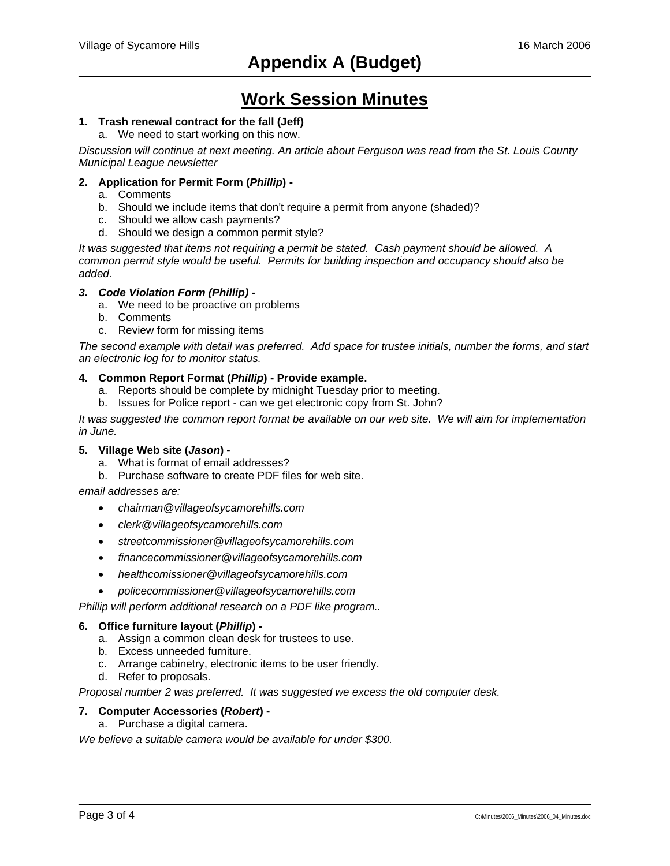## **Work Session Minutes**

### **1. Trash renewal contract for the fall (Jeff)**

a. We need to start working on this now.

*Discussion will continue at next meeting. An article about Ferguson was read from the St. Louis County Municipal League newsletter* 

#### **2. Application for Permit Form (***Phillip***) -**

- a. Comments
- b. Should we include items that don't require a permit from anyone (shaded)?
- c. Should we allow cash payments?
- d. Should we design a common permit style?

*It was suggested that items not requiring a permit be stated. Cash payment should be allowed. A common permit style would be useful. Permits for building inspection and occupancy should also be added.* 

- *3. Code Violation Form (Phillip)* 
	- a. We need to be proactive on problems
	- b. Comments
	- c. Review form for missing items

*The second example with detail was preferred. Add space for trustee initials, number the forms, and start an electronic log for to monitor status.* 

#### **4. Common Report Format (***Phillip***) - Provide example.**

- a. Reports should be complete by midnight Tuesday prior to meeting.
- b. Issues for Police report can we get electronic copy from St. John?

*It was suggested the common report format be available on our web site. We will aim for implementation in June.* 

#### **5. Village Web site (***Jason***) -**

- a. What is format of email addresses?
- b. Purchase software to create PDF files for web site.

*email addresses are:* 

- *chairman@villageofsycamorehills.com*
- *clerk@villageofsycamorehills.com*
- *streetcommissioner@villageofsycamorehills.com*
- *financecommissioner@villageofsycamorehills.com*
- *healthcomissioner@villageofsycamorehills.com*
- *policecommissioner@villageofsycamorehills.com*

*Phillip will perform additional research on a PDF like program..* 

#### **6. Office furniture layout (***Phillip***) -**

- a. Assign a common clean desk for trustees to use.
- b. Excess unneeded furniture.
- c. Arrange cabinetry, electronic items to be user friendly.
- d. Refer to proposals.

*Proposal number 2 was preferred. It was suggested we excess the old computer desk.* 

#### **7. Computer Accessories (***Robert***) -**

a. Purchase a digital camera.

*We believe a suitable camera would be available for under \$300.*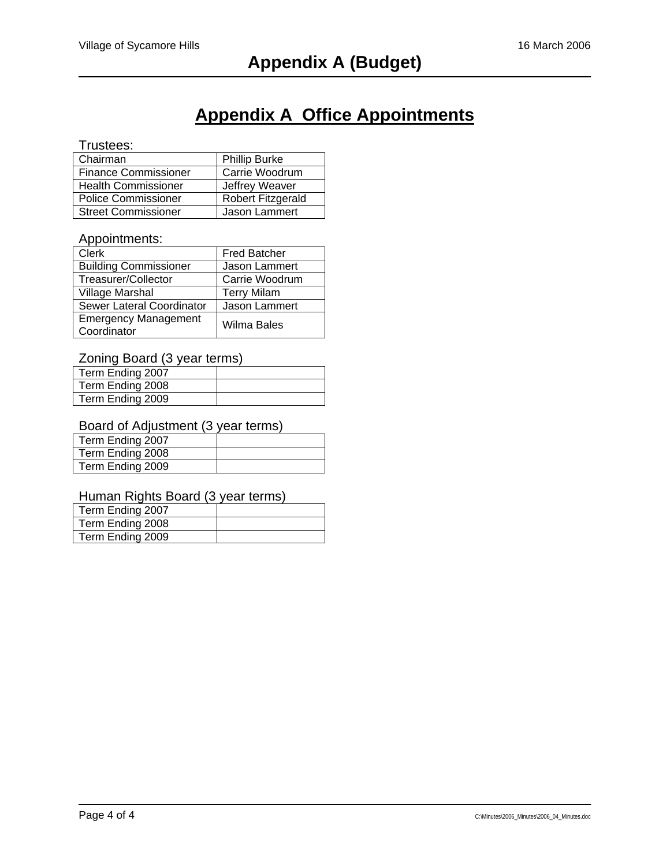## **Appendix A Office Appointments**

## Trustees:

| Chairman                    | <b>Phillip Burke</b>     |
|-----------------------------|--------------------------|
| <b>Finance Commissioner</b> | Carrie Woodrum           |
| <b>Health Commissioner</b>  | Jeffrey Weaver           |
| <b>Police Commissioner</b>  | <b>Robert Fitzgerald</b> |
| <b>Street Commissioner</b>  | Jason Lammert            |

### Appointments:

| <b>Clerk</b>                               | <b>Fred Batcher</b>  |
|--------------------------------------------|----------------------|
| <b>Building Commissioner</b>               | <b>Jason Lammert</b> |
| Treasurer/Collector                        | Carrie Woodrum       |
| Village Marshal                            | <b>Terry Milam</b>   |
| Sewer Lateral Coordinator                  | Jason Lammert        |
| <b>Emergency Management</b><br>Coordinator | Wilma Bales          |

## Zoning Board (3 year terms)

| Term Ending 2007 |  |
|------------------|--|
| Term Ending 2008 |  |
| Term Ending 2009 |  |

#### Board of Adjustment (3 year terms)

| Term Ending 2007 |  |
|------------------|--|
| Term Ending 2008 |  |
| Term Ending 2009 |  |

### Human Rights Board (3 year terms)

| Term Ending 2007 |  |
|------------------|--|
| Term Ending 2008 |  |
| Term Ending 2009 |  |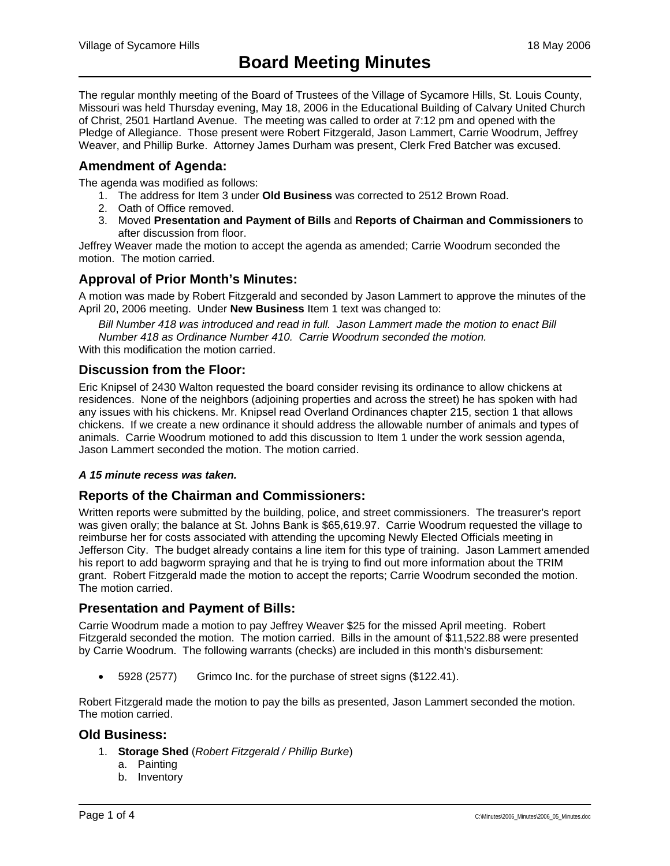The regular monthly meeting of the Board of Trustees of the Village of Sycamore Hills, St. Louis County, Missouri was held Thursday evening, May 18, 2006 in the Educational Building of Calvary United Church of Christ, 2501 Hartland Avenue. The meeting was called to order at 7:12 pm and opened with the Pledge of Allegiance. Those present were Robert Fitzgerald, Jason Lammert, Carrie Woodrum, Jeffrey Weaver, and Phillip Burke. Attorney James Durham was present, Clerk Fred Batcher was excused.

## **Amendment of Agenda:**

The agenda was modified as follows:

- 1. The address for Item 3 under **Old Business** was corrected to 2512 Brown Road.
- 2. Oath of Office removed.
- 3. Moved **Presentation and Payment of Bills** and **Reports of Chairman and Commissioners** to after discussion from floor.

Jeffrey Weaver made the motion to accept the agenda as amended; Carrie Woodrum seconded the motion. The motion carried.

## **Approval of Prior Month's Minutes:**

A motion was made by Robert Fitzgerald and seconded by Jason Lammert to approve the minutes of the April 20, 2006 meeting. Under **New Business** Item 1 text was changed to:

*Bill Number 418 was introduced and read in full. Jason Lammert made the motion to enact Bill Number 418 as Ordinance Number 410. Carrie Woodrum seconded the motion.*  With this modification the motion carried.

## **Discussion from the Floor:**

Eric Knipsel of 2430 Walton requested the board consider revising its ordinance to allow chickens at residences. None of the neighbors (adjoining properties and across the street) he has spoken with had any issues with his chickens. Mr. Knipsel read Overland Ordinances chapter 215, section 1 that allows chickens. If we create a new ordinance it should address the allowable number of animals and types of animals. Carrie Woodrum motioned to add this discussion to Item 1 under the work session agenda, Jason Lammert seconded the motion. The motion carried.

#### *A 15 minute recess was taken.*

## **Reports of the Chairman and Commissioners:**

Written reports were submitted by the building, police, and street commissioners. The treasurer's report was given orally; the balance at St. Johns Bank is \$65,619.97. Carrie Woodrum requested the village to reimburse her for costs associated with attending the upcoming Newly Elected Officials meeting in Jefferson City. The budget already contains a line item for this type of training. Jason Lammert amended his report to add bagworm spraying and that he is trying to find out more information about the TRIM grant. Robert Fitzgerald made the motion to accept the reports; Carrie Woodrum seconded the motion. The motion carried.

## **Presentation and Payment of Bills:**

Carrie Woodrum made a motion to pay Jeffrey Weaver \$25 for the missed April meeting. Robert Fitzgerald seconded the motion. The motion carried. Bills in the amount of \$11,522.88 were presented by Carrie Woodrum. The following warrants (checks) are included in this month's disbursement:

• 5928 (2577) Grimco Inc. for the purchase of street signs (\$122.41).

Robert Fitzgerald made the motion to pay the bills as presented, Jason Lammert seconded the motion. The motion carried.

#### **Old Business:**

- 1. **Storage Shed** (*Robert Fitzgerald / Phillip Burke*)
	- a. Painting
	- b. Inventory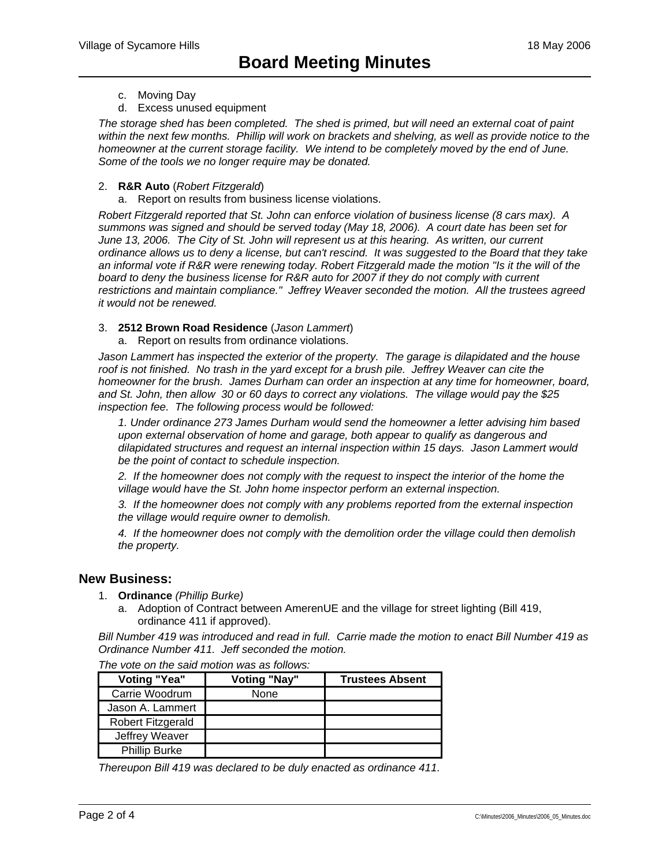- c. Moving Day
- d. Excess unused equipment

*The storage shed has been completed. The shed is primed, but will need an external coat of paint within the next few months. Phillip will work on brackets and shelving, as well as provide notice to the homeowner at the current storage facility. We intend to be completely moved by the end of June. Some of the tools we no longer require may be donated.* 

#### 2. **R&R Auto** (*Robert Fitzgerald*)

a. Report on results from business license violations.

*Robert Fitzgerald reported that St. John can enforce violation of business license (8 cars max). A summons was signed and should be served today (May 18, 2006). A court date has been set for June 13, 2006. The City of St. John will represent us at this hearing. As written, our current ordinance allows us to deny a license, but can't rescind. It was suggested to the Board that they take an informal vote if R&R were renewing today. Robert Fitzgerald made the motion "Is it the will of the board to deny the business license for R&R auto for 2007 if they do not comply with current restrictions and maintain compliance." Jeffrey Weaver seconded the motion. All the trustees agreed it would not be renewed.* 

#### 3. **2512 Brown Road Residence** (*Jason Lammert*)

a. Report on results from ordinance violations.

*Jason Lammert has inspected the exterior of the property. The garage is dilapidated and the house roof is not finished. No trash in the yard except for a brush pile. Jeffrey Weaver can cite the homeowner for the brush. James Durham can order an inspection at any time for homeowner, board, and St. John, then allow 30 or 60 days to correct any violations. The village would pay the \$25 inspection fee. The following process would be followed:* 

*1. Under ordinance 273 James Durham would send the homeowner a letter advising him based upon external observation of home and garage, both appear to qualify as dangerous and dilapidated structures and request an internal inspection within 15 days. Jason Lammert would be the point of contact to schedule inspection.* 

*2. If the homeowner does not comply with the request to inspect the interior of the home the village would have the St. John home inspector perform an external inspection.* 

*3. If the homeowner does not comply with any problems reported from the external inspection the village would require owner to demolish.* 

*4. If the homeowner does not comply with the demolition order the village could then demolish the property.* 

## **New Business:**

- 1. **Ordinance** *(Phillip Burke)*
	- a. Adoption of Contract between AmerenUE and the village for street lighting (Bill 419, ordinance 411 if approved).

*Bill Number 419 was introduced and read in full. Carrie made the motion to enact Bill Number 419 as Ordinance Number 411. Jeff seconded the motion.* 

| <b>Voting "Yea"</b>  | <b>Voting "Nay"</b> | <b>Trustees Absent</b> |
|----------------------|---------------------|------------------------|
| Carrie Woodrum       | None                |                        |
| Jason A. Lammert     |                     |                        |
| Robert Fitzgerald    |                     |                        |
| Jeffrey Weaver       |                     |                        |
| <b>Phillip Burke</b> |                     |                        |

*The vote on the said motion was as follows:* 

*Thereupon Bill 419 was declared to be duly enacted as ordinance 411.*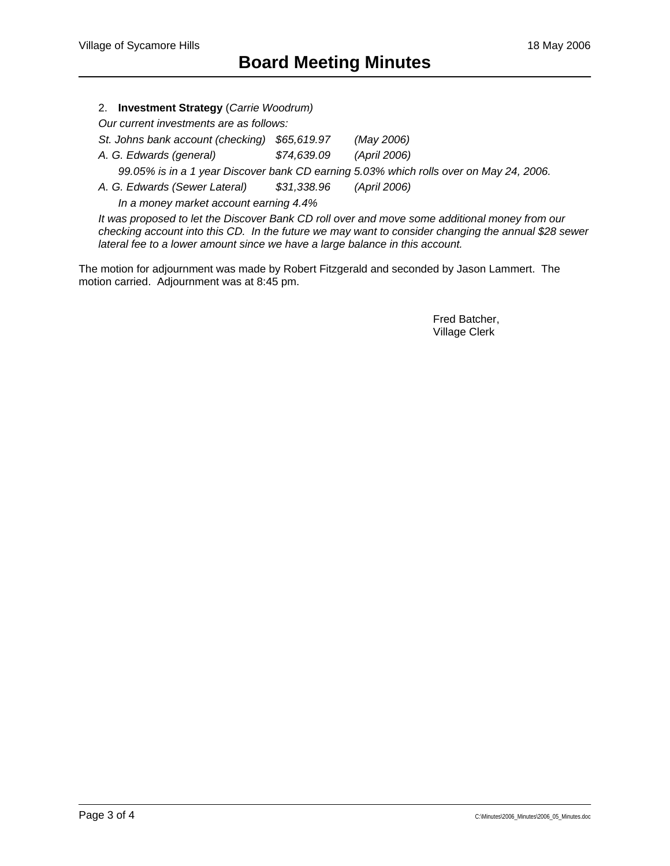#### 2. **Investment Strategy** (*Carrie Woodrum)*

*Our current investments are as follows:* 

*St. Johns bank account (checking) \$65,619.97 (May 2006)* 

*A. G. Edwards (general) \$74,639.09 (April 2006)* 

 *99.05% is in a 1 year Discover bank CD earning 5.03% which rolls over on May 24, 2006.* 

*A. G. Edwards (Sewer Lateral) \$31,338.96 (April 2006)* 

 *In a money market account earning 4.4%* 

*It was proposed to let the Discover Bank CD roll over and move some additional money from our checking account into this CD. In the future we may want to consider changing the annual \$28 sewer lateral fee to a lower amount since we have a large balance in this account.* 

The motion for adjournment was made by Robert Fitzgerald and seconded by Jason Lammert. The motion carried. Adjournment was at 8:45 pm.

> Fred Batcher, Village Clerk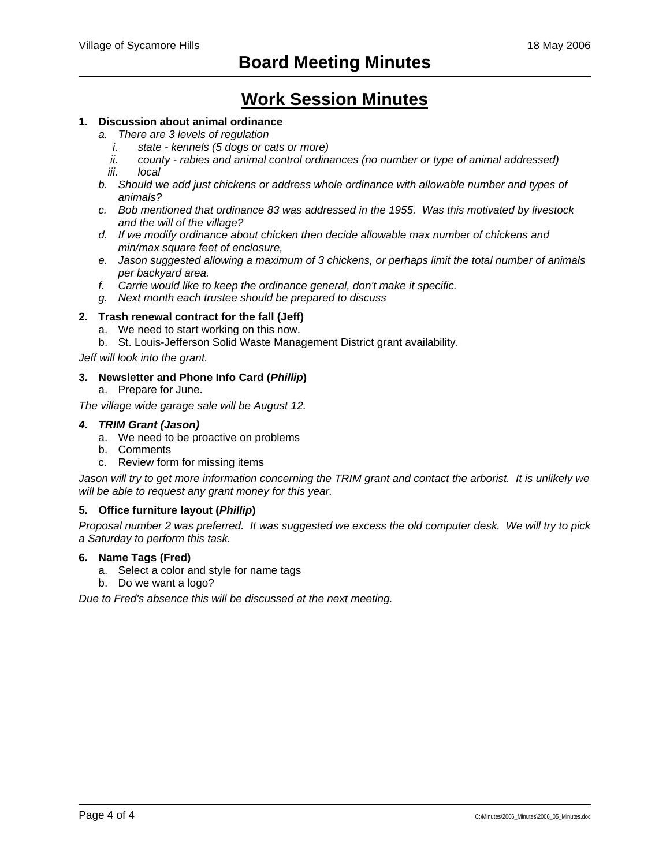## **Work Session Minutes**

#### **1. Discussion about animal ordinance**

- *a. There are 3 levels of regulation* 
	- *i. state kennels (5 dogs or cats or more)*
	- *ii. county rabies and animal control ordinances (no number or type of animal addressed)*
	- *iii. local*
- *b. Should we add just chickens or address whole ordinance with allowable number and types of animals?*
- *c. Bob mentioned that ordinance 83 was addressed in the 1955. Was this motivated by livestock and the will of the village?*
- *d. If we modify ordinance about chicken then decide allowable max number of chickens and min/max square feet of enclosure,*
- *e. Jason suggested allowing a maximum of 3 chickens, or perhaps limit the total number of animals per backyard area.*
- *f. Carrie would like to keep the ordinance general, don't make it specific.*
- *g. Next month each trustee should be prepared to discuss*

#### **2. Trash renewal contract for the fall (Jeff)**

- a. We need to start working on this now.
- b. St. Louis-Jefferson Solid Waste Management District grant availability.

*Jeff will look into the grant.* 

#### **3. Newsletter and Phone Info Card (***Phillip***)**

a. Prepare for June.

*The village wide garage sale will be August 12.* 

#### *4. TRIM Grant (Jason)*

- a. We need to be proactive on problems
- b. Comments
- c. Review form for missing items

*Jason will try to get more information concerning the TRIM grant and contact the arborist. It is unlikely we will be able to request any grant money for this year.* 

#### **5. Office furniture layout (***Phillip***)**

*Proposal number 2 was preferred. It was suggested we excess the old computer desk. We will try to pick a Saturday to perform this task.* 

#### **6. Name Tags (Fred)**

- a. Select a color and style for name tags
- b. Do we want a logo?

*Due to Fred's absence this will be discussed at the next meeting.*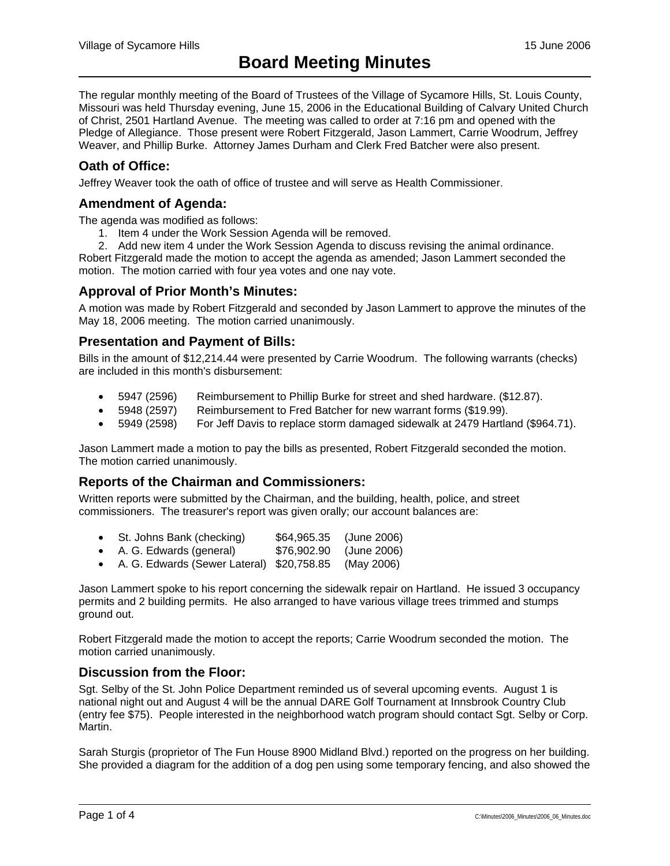The regular monthly meeting of the Board of Trustees of the Village of Sycamore Hills, St. Louis County, Missouri was held Thursday evening, June 15, 2006 in the Educational Building of Calvary United Church of Christ, 2501 Hartland Avenue. The meeting was called to order at 7:16 pm and opened with the Pledge of Allegiance. Those present were Robert Fitzgerald, Jason Lammert, Carrie Woodrum, Jeffrey Weaver, and Phillip Burke. Attorney James Durham and Clerk Fred Batcher were also present.

## **Oath of Office:**

Jeffrey Weaver took the oath of office of trustee and will serve as Health Commissioner.

## **Amendment of Agenda:**

The agenda was modified as follows:

- 1. Item 4 under the Work Session Agenda will be removed.
- 2. Add new item 4 under the Work Session Agenda to discuss revising the animal ordinance.

Robert Fitzgerald made the motion to accept the agenda as amended; Jason Lammert seconded the motion. The motion carried with four yea votes and one nay vote.

## **Approval of Prior Month's Minutes:**

A motion was made by Robert Fitzgerald and seconded by Jason Lammert to approve the minutes of the May 18, 2006 meeting. The motion carried unanimously.

### **Presentation and Payment of Bills:**

Bills in the amount of \$12,214.44 were presented by Carrie Woodrum. The following warrants (checks) are included in this month's disbursement:

- 5947 (2596) Reimbursement to Phillip Burke for street and shed hardware. (\$12.87).
- 5948 (2597) Reimbursement to Fred Batcher for new warrant forms (\$19.99).
- 5949 (2598) For Jeff Davis to replace storm damaged sidewalk at 2479 Hartland (\$964.71).

Jason Lammert made a motion to pay the bills as presented, Robert Fitzgerald seconded the motion. The motion carried unanimously.

## **Reports of the Chairman and Commissioners:**

Written reports were submitted by the Chairman, and the building, health, police, and street commissioners. The treasurer's report was given orally; our account balances are:

- St. Johns Bank (checking) \$64,965.35 (June 2006)
- A. G. Edwards (general) \$76,902.90 (June 2006)
- A. G. Edwards (Sewer Lateral) \$20,758.85 (May 2006)

Jason Lammert spoke to his report concerning the sidewalk repair on Hartland. He issued 3 occupancy permits and 2 building permits. He also arranged to have various village trees trimmed and stumps ground out.

Robert Fitzgerald made the motion to accept the reports; Carrie Woodrum seconded the motion. The motion carried unanimously.

## **Discussion from the Floor:**

Sgt. Selby of the St. John Police Department reminded us of several upcoming events. August 1 is national night out and August 4 will be the annual DARE Golf Tournament at Innsbrook Country Club (entry fee \$75). People interested in the neighborhood watch program should contact Sgt. Selby or Corp. Martin.

Sarah Sturgis (proprietor of The Fun House 8900 Midland Blvd.) reported on the progress on her building. She provided a diagram for the addition of a dog pen using some temporary fencing, and also showed the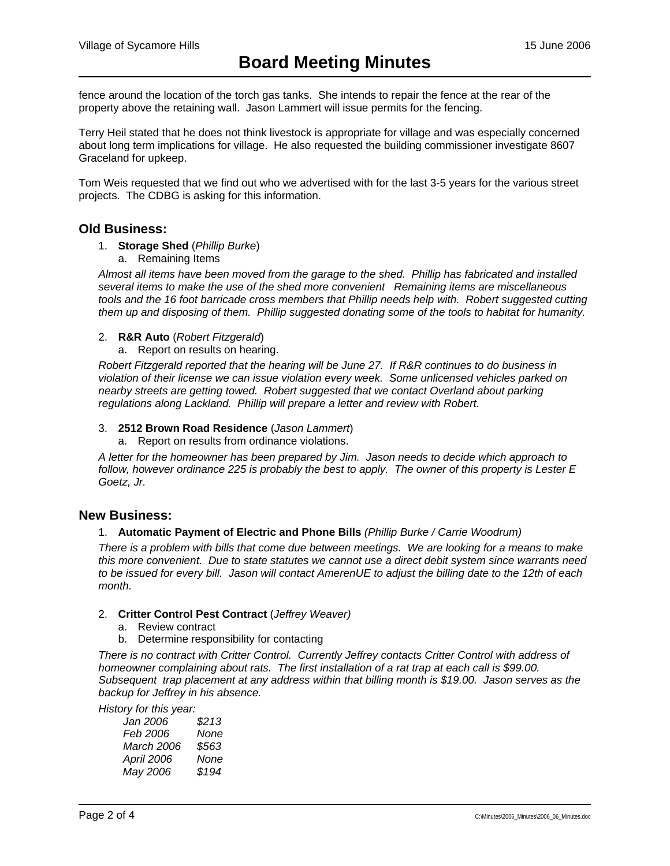fence around the location of the torch gas tanks. She intends to repair the fence at the rear of the property above the retaining wall. Jason Lammert will issue permits for the fencing.

Terry Heil stated that he does not think livestock is appropriate for village and was especially concerned about long term implications for village. He also requested the building commissioner investigate 8607 Graceland for upkeep.

Tom Weis requested that we find out who we advertised with for the last 3-5 years for the various street projects. The CDBG is asking for this information.

## **Old Business:**

- 1. **Storage Shed** (*Phillip Burke*)
	- a. Remaining Items

*Almost all items have been moved from the garage to the shed. Phillip has fabricated and installed several items to make the use of the shed more convenient Remaining items are miscellaneous tools and the 16 foot barricade cross members that Phillip needs help with. Robert suggested cutting them up and disposing of them. Phillip suggested donating some of the tools to habitat for humanity.* 

#### 2. **R&R Auto** (*Robert Fitzgerald*)

a. Report on results on hearing.

*Robert Fitzgerald reported that the hearing will be June 27. If R&R continues to do business in violation of their license we can issue violation every week. Some unlicensed vehicles parked on nearby streets are getting towed. Robert suggested that we contact Overland about parking regulations along Lackland. Phillip will prepare a letter and review with Robert.* 

#### 3. **2512 Brown Road Residence** (*Jason Lammert*)

a. Report on results from ordinance violations.

*A letter for the homeowner has been prepared by Jim. Jason needs to decide which approach to*  follow, however ordinance 225 is probably the best to apply. The owner of this property is Lester E *Goetz, Jr.* 

#### **New Business:**

#### 1. **Automatic Payment of Electric and Phone Bills** *(Phillip Burke / Carrie Woodrum)*

*There is a problem with bills that come due between meetings. We are looking for a means to make this more convenient. Due to state statutes we cannot use a direct debit system since warrants need to be issued for every bill. Jason will contact AmerenUE to adjust the billing date to the 12th of each month.* 

#### 2. **Critter Control Pest Contract** (*Jeffrey Weaver)*

- a. Review contract
- b. Determine responsibility for contacting

*There is no contract with Critter Control. Currently Jeffrey contacts Critter Control with address of homeowner complaining about rats. The first installation of a rat trap at each call is \$99.00. Subsequent trap placement at any address within that billing month is \$19.00. Jason serves as the backup for Jeffrey in his absence.* 

*History for this year:* 

| \$213 |
|-------|
| None  |
| \$563 |
| None  |
| \$194 |
|       |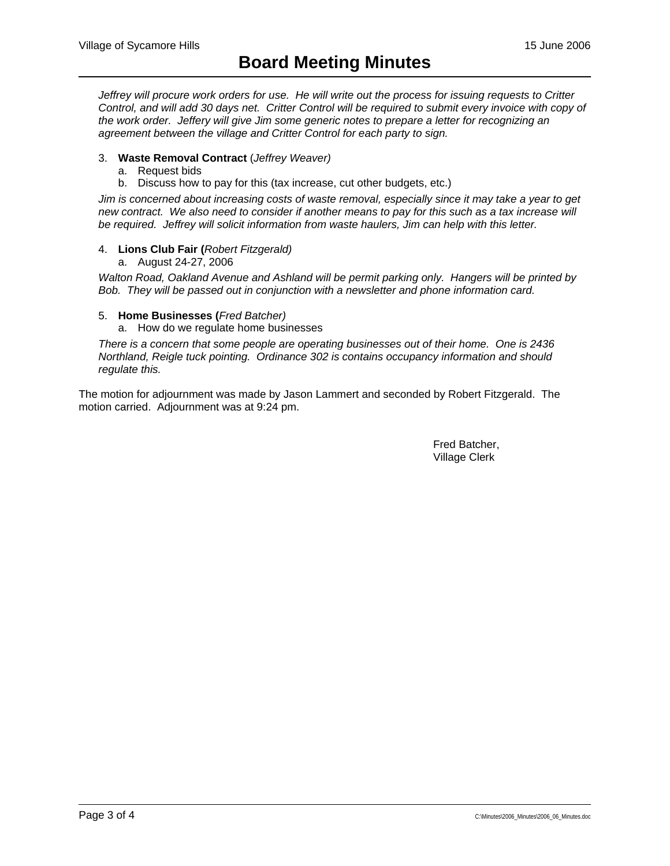*Jeffrey will procure work orders for use. He will write out the process for issuing requests to Critter Control, and will add 30 days net. Critter Control will be required to submit every invoice with copy of the work order. Jeffery will give Jim some generic notes to prepare a letter for recognizing an agreement between the village and Critter Control for each party to sign.* 

#### 3. **Waste Removal Contract** (*Jeffrey Weaver)*

- a. Request bids
- b. Discuss how to pay for this (tax increase, cut other budgets, etc.)

*Jim is concerned about increasing costs of waste removal, especially since it may take a year to get new contract. We also need to consider if another means to pay for this such as a tax increase will be required. Jeffrey will solicit information from waste haulers, Jim can help with this letter.* 

#### 4. **Lions Club Fair (***Robert Fitzgerald)*

a. August 24-27, 2006

*Walton Road, Oakland Avenue and Ashland will be permit parking only. Hangers will be printed by Bob. They will be passed out in conjunction with a newsletter and phone information card.* 

#### 5. **Home Businesses (***Fred Batcher)*

a. How do we regulate home businesses

*There is a concern that some people are operating businesses out of their home. One is 2436 Northland, Reigle tuck pointing. Ordinance 302 is contains occupancy information and should regulate this.* 

The motion for adjournment was made by Jason Lammert and seconded by Robert Fitzgerald. The motion carried. Adjournment was at 9:24 pm.

> Fred Batcher, Village Clerk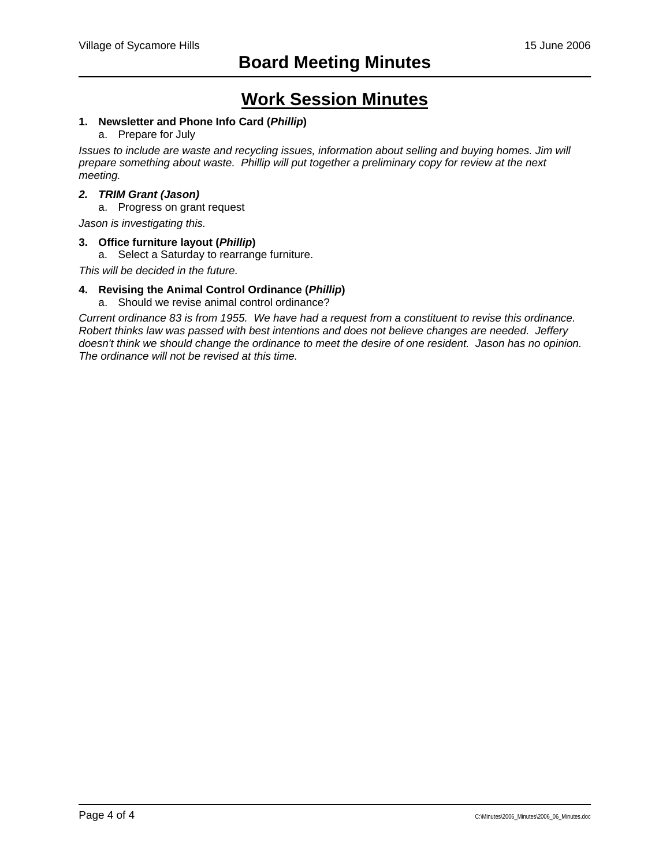## **Work Session Minutes**

### **1. Newsletter and Phone Info Card (***Phillip***)**

#### a. Prepare for July

*Issues to include are waste and recycling issues, information about selling and buying homes. Jim will prepare something about waste. Phillip will put together a preliminary copy for review at the next meeting.* 

#### *2. TRIM Grant (Jason)*

a. Progress on grant request

*Jason is investigating this.* 

#### **3. Office furniture layout (***Phillip***)**

a. Select a Saturday to rearrange furniture.

*This will be decided in the future.* 

#### **4. Revising the Animal Control Ordinance (***Phillip***)**

a. Should we revise animal control ordinance?

*Current ordinance 83 is from 1955. We have had a request from a constituent to revise this ordinance. Robert thinks law was passed with best intentions and does not believe changes are needed. Jeffery doesn't think we should change the ordinance to meet the desire of one resident. Jason has no opinion. The ordinance will not be revised at this time.*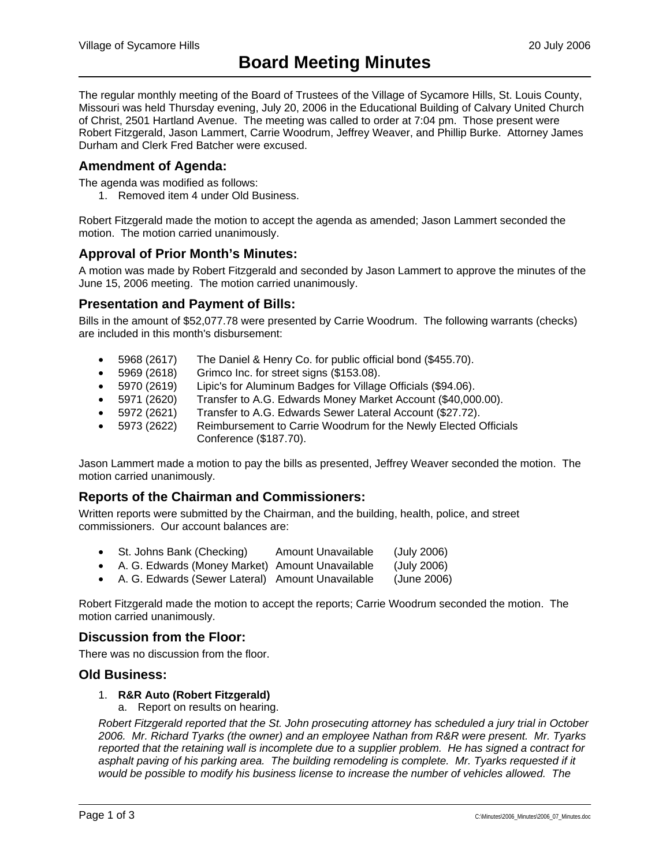The regular monthly meeting of the Board of Trustees of the Village of Sycamore Hills, St. Louis County, Missouri was held Thursday evening, July 20, 2006 in the Educational Building of Calvary United Church of Christ, 2501 Hartland Avenue. The meeting was called to order at 7:04 pm. Those present were Robert Fitzgerald, Jason Lammert, Carrie Woodrum, Jeffrey Weaver, and Phillip Burke. Attorney James Durham and Clerk Fred Batcher were excused.

## **Amendment of Agenda:**

The agenda was modified as follows:

1. Removed item 4 under Old Business.

Robert Fitzgerald made the motion to accept the agenda as amended; Jason Lammert seconded the motion. The motion carried unanimously.

### **Approval of Prior Month's Minutes:**

A motion was made by Robert Fitzgerald and seconded by Jason Lammert to approve the minutes of the June 15, 2006 meeting. The motion carried unanimously.

### **Presentation and Payment of Bills:**

Bills in the amount of \$52,077.78 were presented by Carrie Woodrum. The following warrants (checks) are included in this month's disbursement:

- 5968 (2617) The Daniel & Henry Co. for public official bond (\$455.70).
- 5969 (2618) Grimco Inc. for street signs (\$153.08).
- 5970 (2619) Lipic's for Aluminum Badges for Village Officials (\$94.06).
- 5971 (2620) Transfer to A.G. Edwards Money Market Account (\$40,000.00).
- 5972 (2621) Transfer to A.G. Edwards Sewer Lateral Account (\$27.72).
- 5973 (2622) Reimbursement to Carrie Woodrum for the Newly Elected Officials Conference (\$187.70).

Jason Lammert made a motion to pay the bills as presented, Jeffrey Weaver seconded the motion. The motion carried unanimously.

## **Reports of the Chairman and Commissioners:**

Written reports were submitted by the Chairman, and the building, health, police, and street commissioners. Our account balances are:

- St. Johns Bank (Checking) Amount Unavailable (July 2006)
- A. G. Edwards (Money Market) Amount Unavailable (July 2006)
- A. G. Edwards (Sewer Lateral) Amount Unavailable (June 2006)

Robert Fitzgerald made the motion to accept the reports; Carrie Woodrum seconded the motion. The motion carried unanimously.

#### **Discussion from the Floor:**

There was no discussion from the floor.

#### **Old Business:**

#### 1. **R&R Auto (Robert Fitzgerald)**

a. Report on results on hearing.

*Robert Fitzgerald reported that the St. John prosecuting attorney has scheduled a jury trial in October 2006. Mr. Richard Tyarks (the owner) and an employee Nathan from R&R were present. Mr. Tyarks reported that the retaining wall is incomplete due to a supplier problem. He has signed a contract for*  asphalt paving of his parking area. The building remodeling is complete. Mr. Tyarks requested if it *would be possible to modify his business license to increase the number of vehicles allowed. The*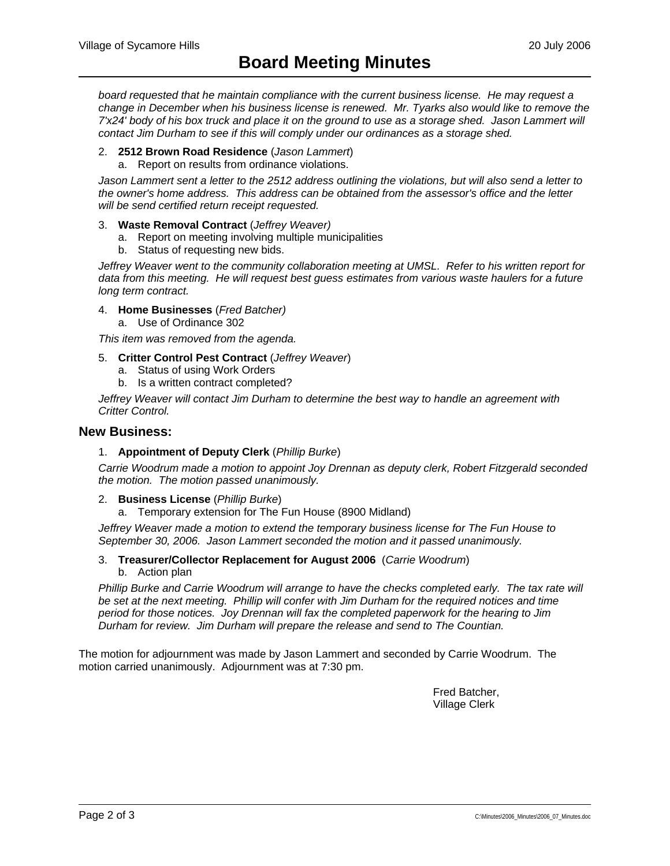*board requested that he maintain compliance with the current business license. He may request a change in December when his business license is renewed. Mr. Tyarks also would like to remove the 7'x24' body of his box truck and place it on the ground to use as a storage shed. Jason Lammert will contact Jim Durham to see if this will comply under our ordinances as a storage shed.* 

#### 2. **2512 Brown Road Residence** (*Jason Lammert*)

a. Report on results from ordinance violations.

*Jason Lammert sent a letter to the 2512 address outlining the violations, but will also send a letter to the owner's home address. This address can be obtained from the assessor's office and the letter will be send certified return receipt requested.* 

- 3. **Waste Removal Contract** (*Jeffrey Weaver)*
	- a. Report on meeting involving multiple municipalities
	- b. Status of requesting new bids.

*Jeffrey Weaver went to the community collaboration meeting at UMSL. Refer to his written report for data from this meeting. He will request best guess estimates from various waste haulers for a future long term contract.* 

- 4. **Home Businesses** (*Fred Batcher)*
	- a. Use of Ordinance 302

*This item was removed from the agenda.* 

- 5. **Critter Control Pest Contract** (*Jeffrey Weaver*)
	- a. Status of using Work Orders
		- b. Is a written contract completed?

*Jeffrey Weaver will contact Jim Durham to determine the best way to handle an agreement with Critter Control.* 

#### **New Business:**

#### 1. **Appointment of Deputy Clerk** (*Phillip Burke*)

*Carrie Woodrum made a motion to appoint Joy Drennan as deputy clerk, Robert Fitzgerald seconded the motion. The motion passed unanimously.* 

- 2. **Business License** (*Phillip Burke*)
	- a. Temporary extension for The Fun House (8900 Midland)

*Jeffrey Weaver made a motion to extend the temporary business license for The Fun House to September 30, 2006. Jason Lammert seconded the motion and it passed unanimously.* 

#### 3. **Treasurer/Collector Replacement for August 2006** (*Carrie Woodrum*) b. Action plan

*Phillip Burke and Carrie Woodrum will arrange to have the checks completed early. The tax rate will* be set at the next meeting. Phillip will confer with Jim Durham for the required notices and time *period for those notices. Joy Drennan will fax the completed paperwork for the hearing to Jim Durham for review. Jim Durham will prepare the release and send to The Countian.* 

The motion for adjournment was made by Jason Lammert and seconded by Carrie Woodrum. The motion carried unanimously. Adjournment was at 7:30 pm.

> Fred Batcher, Village Clerk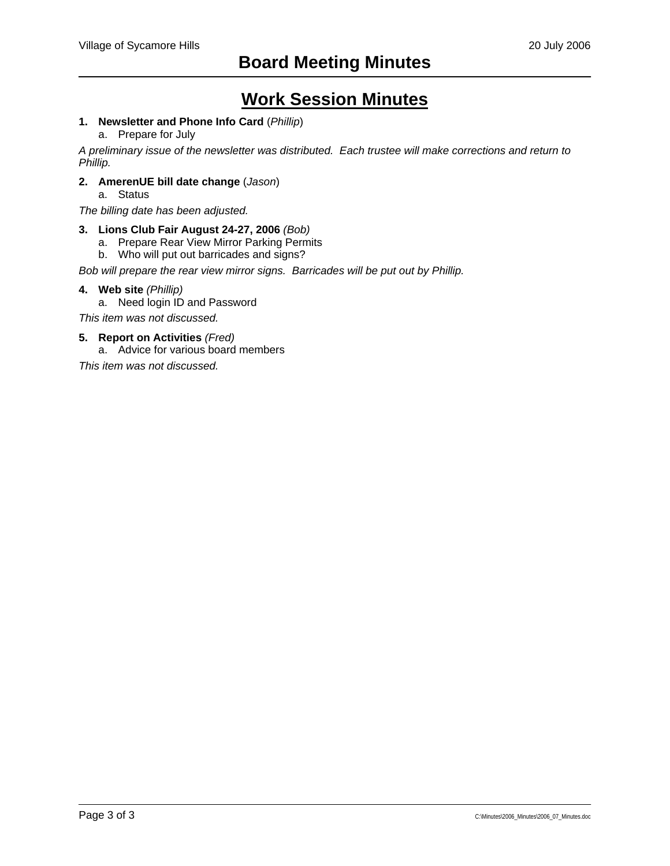## **Work Session Minutes**

### **1. Newsletter and Phone Info Card** (*Phillip*)

#### a. Prepare for July

*A preliminary issue of the newsletter was distributed. Each trustee will make corrections and return to Phillip.* 

#### **2. AmerenUE bill date change** (*Jason*)

a. Status

*The billing date has been adjusted.* 

#### **3. Lions Club Fair August 24-27, 2006** *(Bob)*

- a. Prepare Rear View Mirror Parking Permits
- b. Who will put out barricades and signs?

*Bob will prepare the rear view mirror signs. Barricades will be put out by Phillip.* 

#### **4. Web site** *(Phillip)*

a. Need login ID and Password

*This item was not discussed.* 

#### **5. Report on Activities** *(Fred)*

a. Advice for various board members

*This item was not discussed.*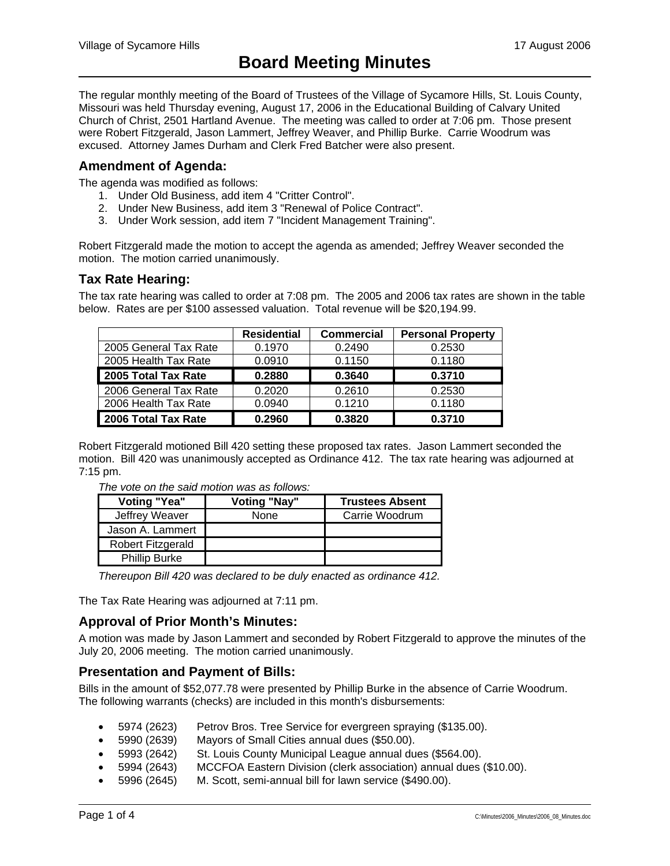The regular monthly meeting of the Board of Trustees of the Village of Sycamore Hills, St. Louis County, Missouri was held Thursday evening, August 17, 2006 in the Educational Building of Calvary United Church of Christ, 2501 Hartland Avenue. The meeting was called to order at 7:06 pm. Those present were Robert Fitzgerald, Jason Lammert, Jeffrey Weaver, and Phillip Burke. Carrie Woodrum was excused. Attorney James Durham and Clerk Fred Batcher were also present.

## **Amendment of Agenda:**

The agenda was modified as follows:

- 1. Under Old Business, add item 4 "Critter Control".
- 2. Under New Business, add item 3 "Renewal of Police Contract".
- 3. Under Work session, add item 7 "Incident Management Training".

Robert Fitzgerald made the motion to accept the agenda as amended; Jeffrey Weaver seconded the motion. The motion carried unanimously.

## **Tax Rate Hearing:**

The tax rate hearing was called to order at 7:08 pm. The 2005 and 2006 tax rates are shown in the table below. Rates are per \$100 assessed valuation. Total revenue will be \$20,194.99.

|                       | <b>Residential</b> | <b>Commercial</b> | <b>Personal Property</b> |
|-----------------------|--------------------|-------------------|--------------------------|
| 2005 General Tax Rate | 0.1970             | 0.2490            | 0.2530                   |
| 2005 Health Tax Rate  | 0.0910             | 0.1150            | 0.1180                   |
| 2005 Total Tax Rate   | 0.2880             | 0.3640            | 0.3710                   |
| 2006 General Tax Rate | 0.2020             | 0.2610            | 0.2530                   |
| 2006 Health Tax Rate  | 0.0940             | 0.1210            | 0.1180                   |
| 2006 Total Tax Rate   | 0.2960             | 0.3820            | 0.3710                   |

Robert Fitzgerald motioned Bill 420 setting these proposed tax rates. Jason Lammert seconded the motion. Bill 420 was unanimously accepted as Ordinance 412. The tax rate hearing was adjourned at 7:15 pm.

| <b>Voting "Yea"</b>  | Voting "Nay" | <b>Trustees Absent</b> |
|----------------------|--------------|------------------------|
| Jeffrey Weaver       | None         | Carrie Woodrum         |
| Jason A. Lammert     |              |                        |
| Robert Fitzgerald    |              |                        |
| <b>Phillip Burke</b> |              |                        |

*The vote on the said motion was as follows:* 

*Thereupon Bill 420 was declared to be duly enacted as ordinance 412.* 

The Tax Rate Hearing was adjourned at 7:11 pm.

## **Approval of Prior Month's Minutes:**

A motion was made by Jason Lammert and seconded by Robert Fitzgerald to approve the minutes of the July 20, 2006 meeting. The motion carried unanimously.

## **Presentation and Payment of Bills:**

Bills in the amount of \$52,077.78 were presented by Phillip Burke in the absence of Carrie Woodrum. The following warrants (checks) are included in this month's disbursements:

- 5974 (2623) Petrov Bros. Tree Service for evergreen spraying (\$135.00).
- 5990 (2639) Mayors of Small Cities annual dues (\$50.00).
- 5993 (2642) St. Louis County Municipal League annual dues (\$564.00).
- 5994 (2643) MCCFOA Eastern Division (clerk association) annual dues (\$10.00).
- 5996 (2645) M. Scott, semi-annual bill for lawn service (\$490.00).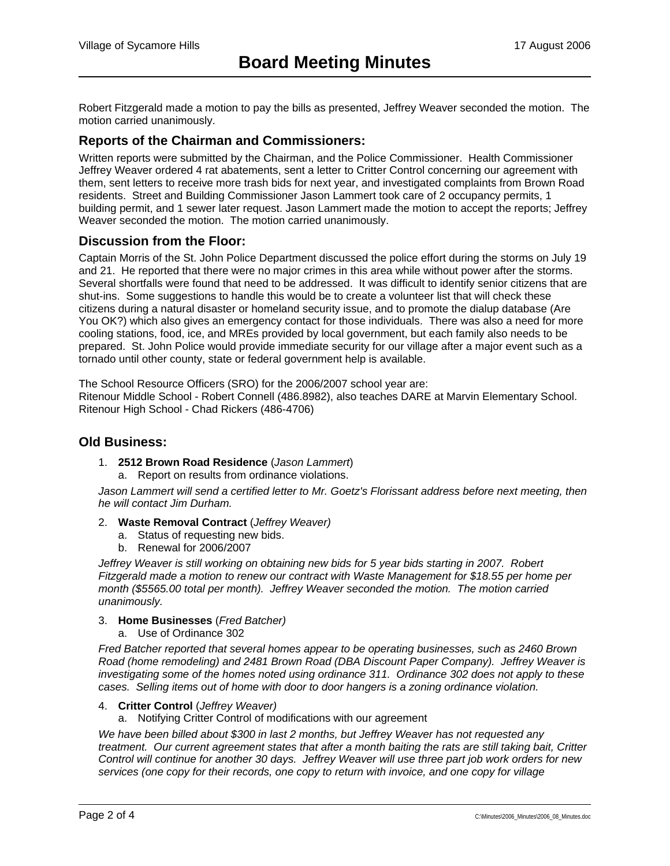Robert Fitzgerald made a motion to pay the bills as presented, Jeffrey Weaver seconded the motion. The motion carried unanimously.

## **Reports of the Chairman and Commissioners:**

Written reports were submitted by the Chairman, and the Police Commissioner. Health Commissioner Jeffrey Weaver ordered 4 rat abatements, sent a letter to Critter Control concerning our agreement with them, sent letters to receive more trash bids for next year, and investigated complaints from Brown Road residents. Street and Building Commissioner Jason Lammert took care of 2 occupancy permits, 1 building permit, and 1 sewer later request. Jason Lammert made the motion to accept the reports; Jeffrey Weaver seconded the motion. The motion carried unanimously.

## **Discussion from the Floor:**

Captain Morris of the St. John Police Department discussed the police effort during the storms on July 19 and 21. He reported that there were no major crimes in this area while without power after the storms. Several shortfalls were found that need to be addressed. It was difficult to identify senior citizens that are shut-ins. Some suggestions to handle this would be to create a volunteer list that will check these citizens during a natural disaster or homeland security issue, and to promote the dialup database (Are You OK?) which also gives an emergency contact for those individuals. There was also a need for more cooling stations, food, ice, and MREs provided by local government, but each family also needs to be prepared. St. John Police would provide immediate security for our village after a major event such as a tornado until other county, state or federal government help is available.

The School Resource Officers (SRO) for the 2006/2007 school year are:

Ritenour Middle School - Robert Connell (486.8982), also teaches DARE at Marvin Elementary School. Ritenour High School - Chad Rickers (486-4706)

#### **Old Business:**

- 1. **2512 Brown Road Residence** (*Jason Lammert*)
	- a. Report on results from ordinance violations.

Jason Lammert will send a certified letter to Mr. Goetz's Florissant address before next meeting, then *he will contact Jim Durham.* 

- 2. **Waste Removal Contract** (*Jeffrey Weaver)*
	- a. Status of requesting new bids.
	- b. Renewal for 2006/2007

*Jeffrey Weaver is still working on obtaining new bids for 5 year bids starting in 2007. Robert Fitzgerald made a motion to renew our contract with Waste Management for \$18.55 per home per month (\$5565.00 total per month). Jeffrey Weaver seconded the motion. The motion carried unanimously.* 

#### 3. **Home Businesses** (*Fred Batcher)*

a. Use of Ordinance 302

*Fred Batcher reported that several homes appear to be operating businesses, such as 2460 Brown Road (home remodeling) and 2481 Brown Road (DBA Discount Paper Company). Jeffrey Weaver is investigating some of the homes noted using ordinance 311. Ordinance 302 does not apply to these cases. Selling items out of home with door to door hangers is a zoning ordinance violation.* 

#### 4. **Critter Control** (*Jeffrey Weaver)*

a. Notifying Critter Control of modifications with our agreement

*We have been billed about \$300 in last 2 months, but Jeffrey Weaver has not requested any treatment. Our current agreement states that after a month baiting the rats are still taking bait, Critter Control will continue for another 30 days. Jeffrey Weaver will use three part job work orders for new services (one copy for their records, one copy to return with invoice, and one copy for village*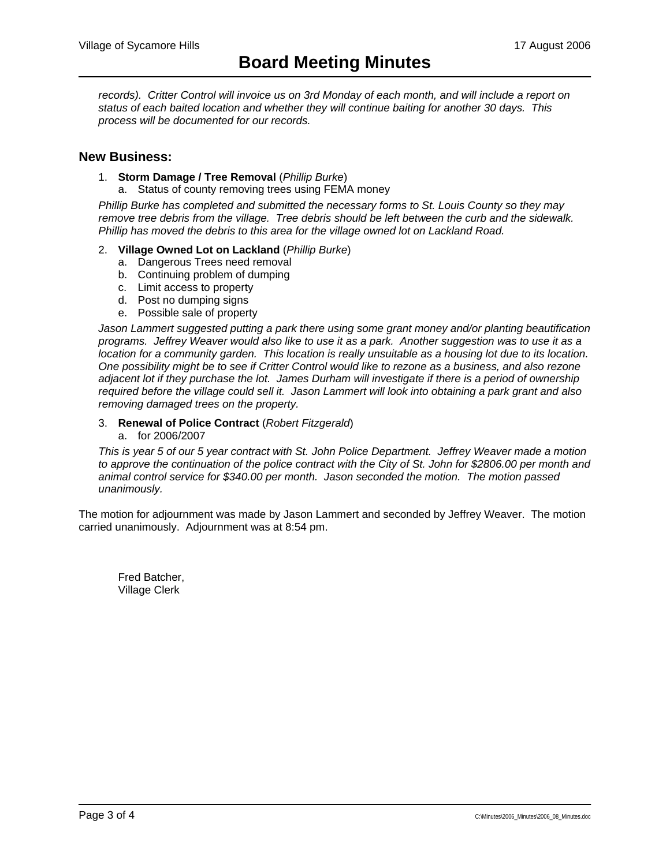records). Critter Control will invoice us on 3rd Monday of each month, and will include a report on *status of each baited location and whether they will continue baiting for another 30 days. This process will be documented for our records.* 

#### **New Business:**

- 1. **Storm Damage / Tree Removal** (*Phillip Burke*)
	- a. Status of county removing trees using FEMA money

*Phillip Burke has completed and submitted the necessary forms to St. Louis County so they may remove tree debris from the village. Tree debris should be left between the curb and the sidewalk. Phillip has moved the debris to this area for the village owned lot on Lackland Road.* 

- 2. **Village Owned Lot on Lackland** (*Phillip Burke*)
	- a. Dangerous Trees need removal
	- b. Continuing problem of dumping
	- c. Limit access to property
	- d. Post no dumping signs
	- e. Possible sale of property

*Jason Lammert suggested putting a park there using some grant money and/or planting beautification programs. Jeffrey Weaver would also like to use it as a park. Another suggestion was to use it as a location for a community garden. This location is really unsuitable as a housing lot due to its location. One possibility might be to see if Critter Control would like to rezone as a business, and also rezone adjacent lot if they purchase the lot. James Durham will investigate if there is a period of ownership required before the village could sell it. Jason Lammert will look into obtaining a park grant and also removing damaged trees on the property.* 

#### 3. **Renewal of Police Contract** (*Robert Fitzgerald*)

a. for 2006/2007

*This is year 5 of our 5 year contract with St. John Police Department. Jeffrey Weaver made a motion to approve the continuation of the police contract with the City of St. John for \$2806.00 per month and animal control service for \$340.00 per month. Jason seconded the motion. The motion passed unanimously.* 

The motion for adjournment was made by Jason Lammert and seconded by Jeffrey Weaver. The motion carried unanimously. Adjournment was at 8:54 pm.

 Fred Batcher, Village Clerk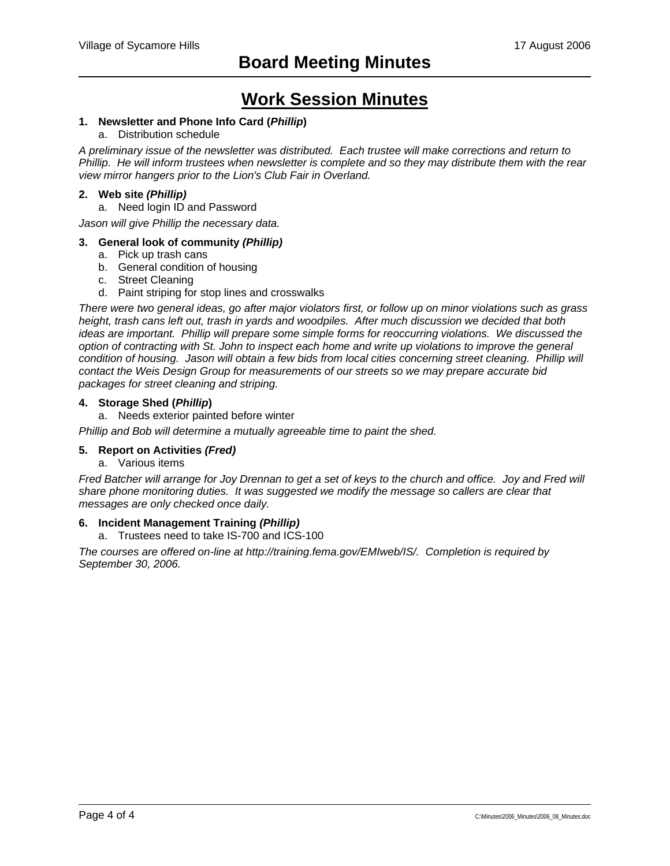## **Work Session Minutes**

#### **1. Newsletter and Phone Info Card (***Phillip***)**

#### a. Distribution schedule

*A preliminary issue of the newsletter was distributed. Each trustee will make corrections and return to Phillip. He will inform trustees when newsletter is complete and so they may distribute them with the rear view mirror hangers prior to the Lion's Club Fair in Overland.* 

#### **2. Web site** *(Phillip)*

a. Need login ID and Password

*Jason will give Phillip the necessary data.* 

#### **3. General look of community** *(Phillip)*

- a. Pick up trash cans
- b. General condition of housing
- c. Street Cleaning
- d. Paint striping for stop lines and crosswalks

*There were two general ideas, go after major violators first, or follow up on minor violations such as grass height, trash cans left out, trash in yards and woodpiles. After much discussion we decided that both ideas are important. Phillip will prepare some simple forms for reoccurring violations. We discussed the option of contracting with St. John to inspect each home and write up violations to improve the general condition of housing. Jason will obtain a few bids from local cities concerning street cleaning. Phillip will contact the Weis Design Group for measurements of our streets so we may prepare accurate bid packages for street cleaning and striping.* 

#### **4. Storage Shed (***Phillip***)**

a. Needs exterior painted before winter

*Phillip and Bob will determine a mutually agreeable time to paint the shed.* 

## **5. Report on Activities** *(Fred)*

a. Various items

*Fred Batcher will arrange for Joy Drennan to get a set of keys to the church and office. Joy and Fred will share phone monitoring duties. It was suggested we modify the message so callers are clear that messages are only checked once daily.* 

#### **6. Incident Management Training** *(Phillip)*

a. Trustees need to take IS-700 and ICS-100

*The courses are offered on-line at http://training.fema.gov/EMIweb/IS/. Completion is required by September 30, 2006.*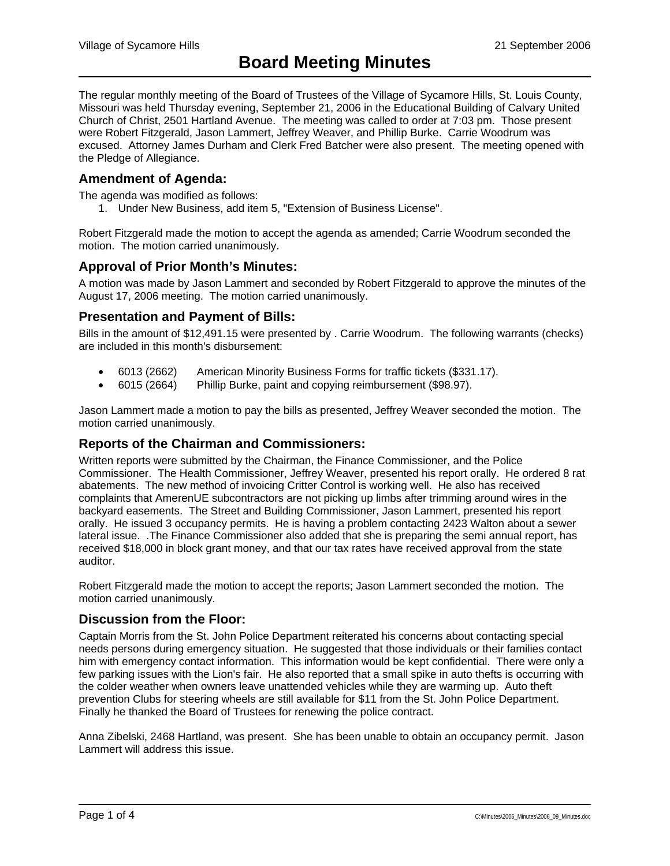The regular monthly meeting of the Board of Trustees of the Village of Sycamore Hills, St. Louis County, Missouri was held Thursday evening, September 21, 2006 in the Educational Building of Calvary United Church of Christ, 2501 Hartland Avenue. The meeting was called to order at 7:03 pm. Those present were Robert Fitzgerald, Jason Lammert, Jeffrey Weaver, and Phillip Burke. Carrie Woodrum was excused. Attorney James Durham and Clerk Fred Batcher were also present. The meeting opened with the Pledge of Allegiance.

## **Amendment of Agenda:**

The agenda was modified as follows:

1. Under New Business, add item 5, "Extension of Business License".

Robert Fitzgerald made the motion to accept the agenda as amended; Carrie Woodrum seconded the motion. The motion carried unanimously.

## **Approval of Prior Month's Minutes:**

A motion was made by Jason Lammert and seconded by Robert Fitzgerald to approve the minutes of the August 17, 2006 meeting. The motion carried unanimously.

## **Presentation and Payment of Bills:**

Bills in the amount of \$12,491.15 were presented by . Carrie Woodrum. The following warrants (checks) are included in this month's disbursement:

- 6013 (2662) American Minority Business Forms for traffic tickets (\$331.17).
- 6015 (2664) Phillip Burke, paint and copying reimbursement (\$98.97).

Jason Lammert made a motion to pay the bills as presented, Jeffrey Weaver seconded the motion. The motion carried unanimously.

## **Reports of the Chairman and Commissioners:**

Written reports were submitted by the Chairman, the Finance Commissioner, and the Police Commissioner. The Health Commissioner, Jeffrey Weaver, presented his report orally. He ordered 8 rat abatements. The new method of invoicing Critter Control is working well. He also has received complaints that AmerenUE subcontractors are not picking up limbs after trimming around wires in the backyard easements. The Street and Building Commissioner, Jason Lammert, presented his report orally. He issued 3 occupancy permits. He is having a problem contacting 2423 Walton about a sewer lateral issue. .The Finance Commissioner also added that she is preparing the semi annual report, has received \$18,000 in block grant money, and that our tax rates have received approval from the state auditor.

Robert Fitzgerald made the motion to accept the reports; Jason Lammert seconded the motion. The motion carried unanimously.

## **Discussion from the Floor:**

Captain Morris from the St. John Police Department reiterated his concerns about contacting special needs persons during emergency situation. He suggested that those individuals or their families contact him with emergency contact information. This information would be kept confidential. There were only a few parking issues with the Lion's fair. He also reported that a small spike in auto thefts is occurring with the colder weather when owners leave unattended vehicles while they are warming up. Auto theft prevention Clubs for steering wheels are still available for \$11 from the St. John Police Department. Finally he thanked the Board of Trustees for renewing the police contract.

Anna Zibelski, 2468 Hartland, was present. She has been unable to obtain an occupancy permit. Jason Lammert will address this issue.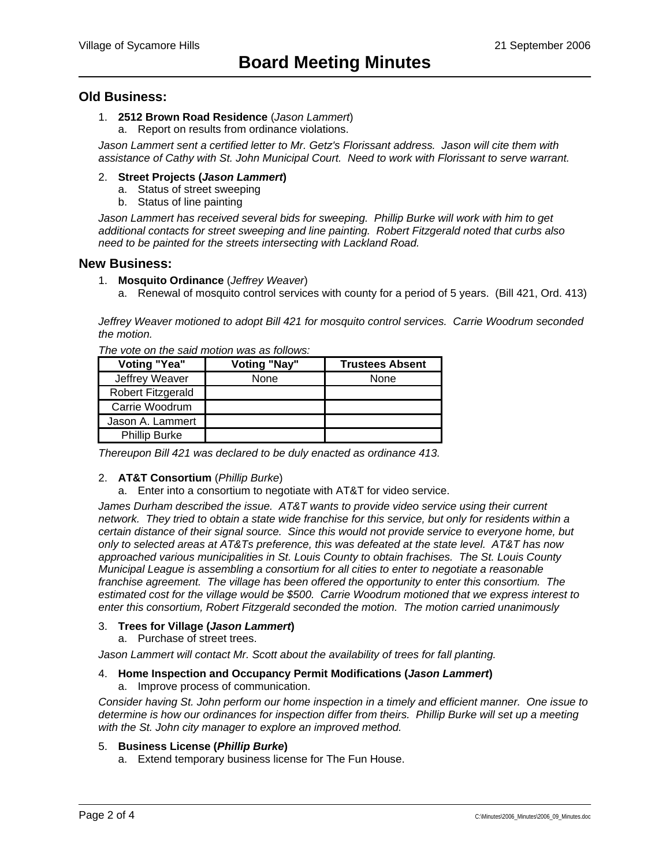### **Old Business:**

#### 1. **2512 Brown Road Residence** (*Jason Lammert*)

a. Report on results from ordinance violations.

*Jason Lammert sent a certified letter to Mr. Getz's Florissant address. Jason will cite them with assistance of Cathy with St. John Municipal Court. Need to work with Florissant to serve warrant.* 

#### 2. **Street Projects (***Jason Lammert***)**

- a. Status of street sweeping
- b. Status of line painting

*Jason Lammert has received several bids for sweeping. Phillip Burke will work with him to get additional contacts for street sweeping and line painting. Robert Fitzgerald noted that curbs also need to be painted for the streets intersecting with Lackland Road.* 

#### **New Business:**

- 1. **Mosquito Ordinance** (*Jeffrey Weaver*)
	- a. Renewal of mosquito control services with county for a period of 5 years. (Bill 421, Ord. 413)

*Jeffrey Weaver motioned to adopt Bill 421 for mosquito control services. Carrie Woodrum seconded the motion.* 

| <b>Voting "Yea"</b>  | <b>Voting "Nay"</b> | <b>Trustees Absent</b> |
|----------------------|---------------------|------------------------|
| Jeffrey Weaver       | None                | None                   |
| Robert Fitzgerald    |                     |                        |
| Carrie Woodrum       |                     |                        |
| Jason A. Lammert     |                     |                        |
| <b>Phillip Burke</b> |                     |                        |

*The vote on the said motion was as follows:* 

*Thereupon Bill 421 was declared to be duly enacted as ordinance 413.* 

#### 2. **AT&T Consortium** (*Phillip Burke*)

a. Enter into a consortium to negotiate with AT&T for video service.

*James Durham described the issue. AT&T wants to provide video service using their current network. They tried to obtain a state wide franchise for this service, but only for residents within a certain distance of their signal source. Since this would not provide service to everyone home, but only to selected areas at AT&Ts preference, this was defeated at the state level. AT&T has now approached various municipalities in St. Louis County to obtain frachises. The St. Louis County Municipal League is assembling a consortium for all cities to enter to negotiate a reasonable franchise agreement. The village has been offered the opportunity to enter this consortium. The estimated cost for the village would be \$500. Carrie Woodrum motioned that we express interest to enter this consortium, Robert Fitzgerald seconded the motion. The motion carried unanimously* 

#### 3. **Trees for Village (***Jason Lammert***)**

a. Purchase of street trees.

Jason Lammert will contact Mr. Scott about the availability of trees for fall planting.

#### 4. **Home Inspection and Occupancy Permit Modifications (***Jason Lammert***)**

a. Improve process of communication.

*Consider having St. John perform our home inspection in a timely and efficient manner. One issue to determine is how our ordinances for inspection differ from theirs. Phillip Burke will set up a meeting with the St. John city manager to explore an improved method.* 

#### 5. **Business License (***Phillip Burke***)**

a. Extend temporary business license for The Fun House.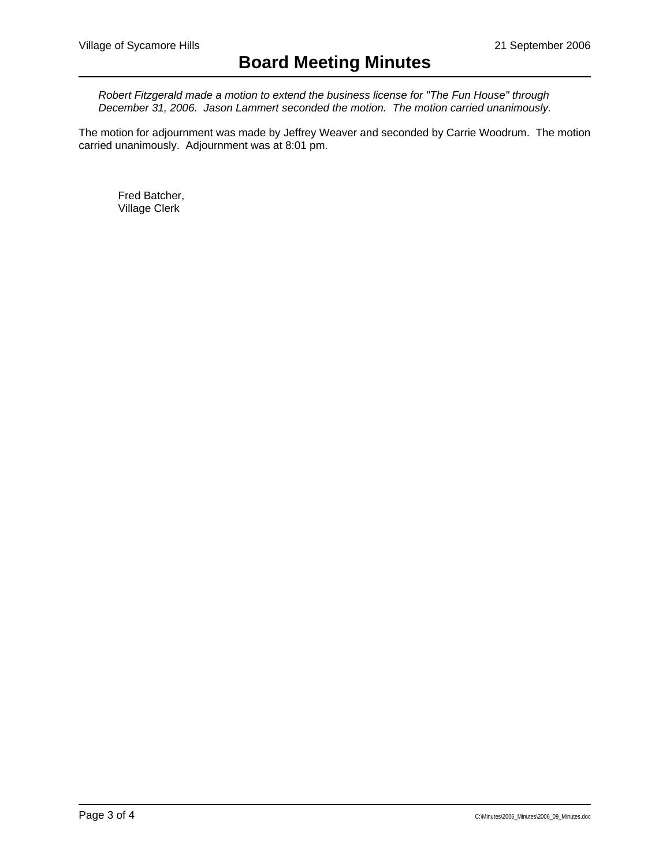*Robert Fitzgerald made a motion to extend the business license for "The Fun House" through December 31, 2006. Jason Lammert seconded the motion. The motion carried unanimously.* 

The motion for adjournment was made by Jeffrey Weaver and seconded by Carrie Woodrum. The motion carried unanimously. Adjournment was at 8:01 pm.

 Fred Batcher, Village Clerk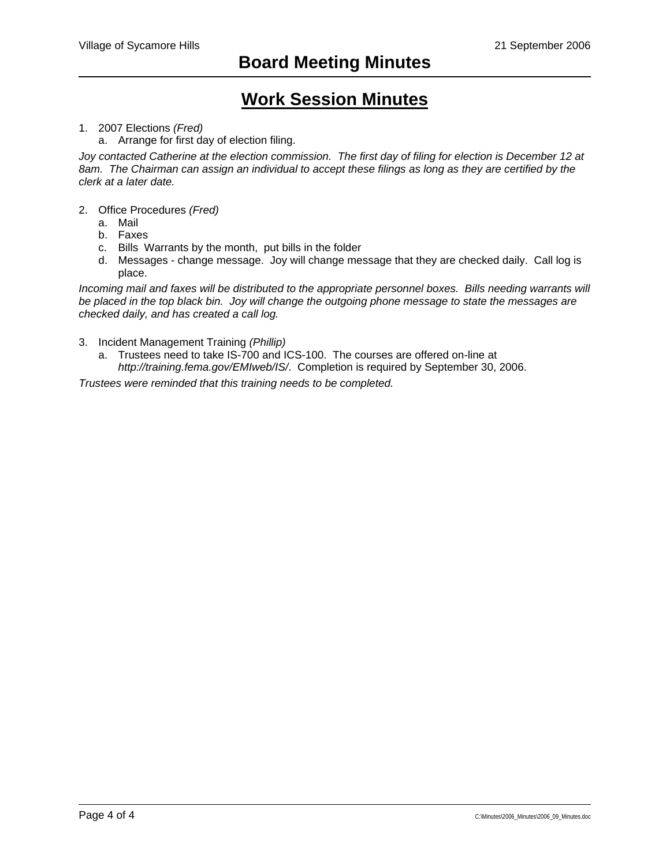## **Work Session Minutes**

### 1. 2007 Elections *(Fred)*

a. Arrange for first day of election filing.

*Joy contacted Catherine at the election commission. The first day of filing for election is December 12 at 8am. The Chairman can assign an individual to accept these filings as long as they are certified by the clerk at a later date.* 

- 2. Office Procedures *(Fred)*
	- a. Mail
	- b. Faxes
	- c. Bills Warrants by the month, put bills in the folder
	- d. Messages change message. Joy will change message that they are checked daily. Call log is place.

*Incoming mail and faxes will be distributed to the appropriate personnel boxes. Bills needing warrants will be placed in the top black bin. Joy will change the outgoing phone message to state the messages are checked daily, and has created a call log.* 

- 3. Incident Management Training *(Phillip)*
	- a. Trustees need to take IS-700 and ICS-100. The courses are offered on-line at *http://training.fema.gov/EMIweb/IS/*. Completion is required by September 30, 2006.

*Trustees were reminded that this training needs to be completed.*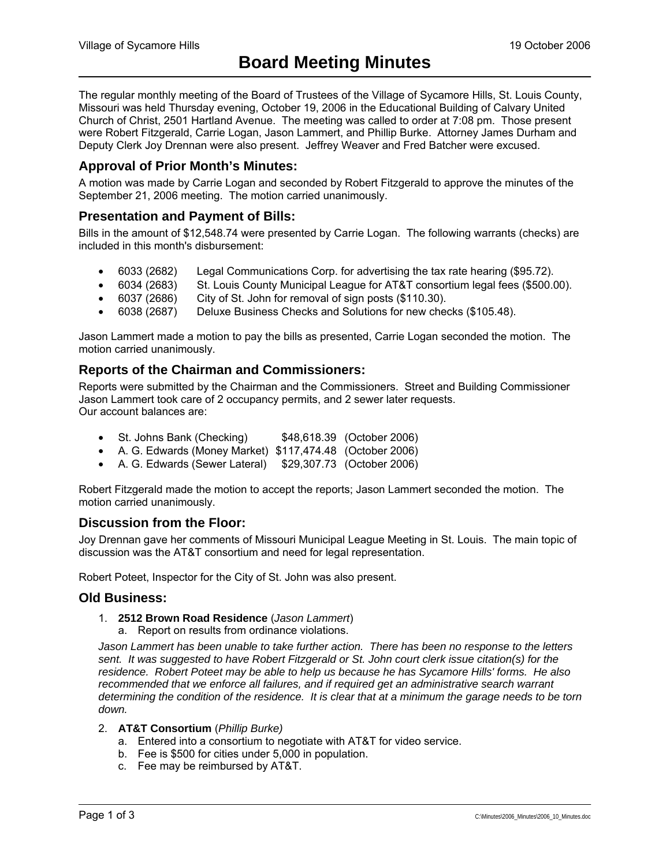The regular monthly meeting of the Board of Trustees of the Village of Sycamore Hills, St. Louis County, Missouri was held Thursday evening, October 19, 2006 in the Educational Building of Calvary United Church of Christ, 2501 Hartland Avenue. The meeting was called to order at 7:08 pm. Those present were Robert Fitzgerald, Carrie Logan, Jason Lammert, and Phillip Burke. Attorney James Durham and Deputy Clerk Joy Drennan were also present. Jeffrey Weaver and Fred Batcher were excused.

## **Approval of Prior Month's Minutes:**

A motion was made by Carrie Logan and seconded by Robert Fitzgerald to approve the minutes of the September 21, 2006 meeting. The motion carried unanimously.

## **Presentation and Payment of Bills:**

Bills in the amount of \$12,548.74 were presented by Carrie Logan. The following warrants (checks) are included in this month's disbursement:

- 6033 (2682) Legal Communications Corp. for advertising the tax rate hearing (\$95.72).
- 6034 (2683) St. Louis County Municipal League for AT&T consortium legal fees (\$500.00).
- 6037 (2686) City of St. John for removal of sign posts (\$110.30).
- 6038 (2687) Deluxe Business Checks and Solutions for new checks (\$105.48).

Jason Lammert made a motion to pay the bills as presented, Carrie Logan seconded the motion. The motion carried unanimously.

## **Reports of the Chairman and Commissioners:**

Reports were submitted by the Chairman and the Commissioners. Street and Building Commissioner Jason Lammert took care of 2 occupancy permits, and 2 sewer later requests. Our account balances are:

- St. Johns Bank (Checking) \$48,618.39 (October 2006)
- A. G. Edwards (Money Market) \$117,474.48 (October 2006)
- A. G. Edwards (Sewer Lateral) \$29,307.73 (October 2006)

Robert Fitzgerald made the motion to accept the reports; Jason Lammert seconded the motion. The motion carried unanimously.

#### **Discussion from the Floor:**

Joy Drennan gave her comments of Missouri Municipal League Meeting in St. Louis. The main topic of discussion was the AT&T consortium and need for legal representation.

Robert Poteet, Inspector for the City of St. John was also present.

#### **Old Business:**

- 1. **2512 Brown Road Residence** (*Jason Lammert*)
	- a. Report on results from ordinance violations.

*Jason Lammert has been unable to take further action. There has been no response to the letters sent. It was suggested to have Robert Fitzgerald or St. John court clerk issue citation(s) for the residence. Robert Poteet may be able to help us because he has Sycamore Hills' forms. He also recommended that we enforce all failures, and if required get an administrative search warrant determining the condition of the residence. It is clear that at a minimum the garage needs to be torn down.* 

#### 2. **AT&T Consortium** (*Phillip Burke)*

- a. Entered into a consortium to negotiate with AT&T for video service.
- b. Fee is \$500 for cities under 5,000 in population.
- c. Fee may be reimbursed by AT&T.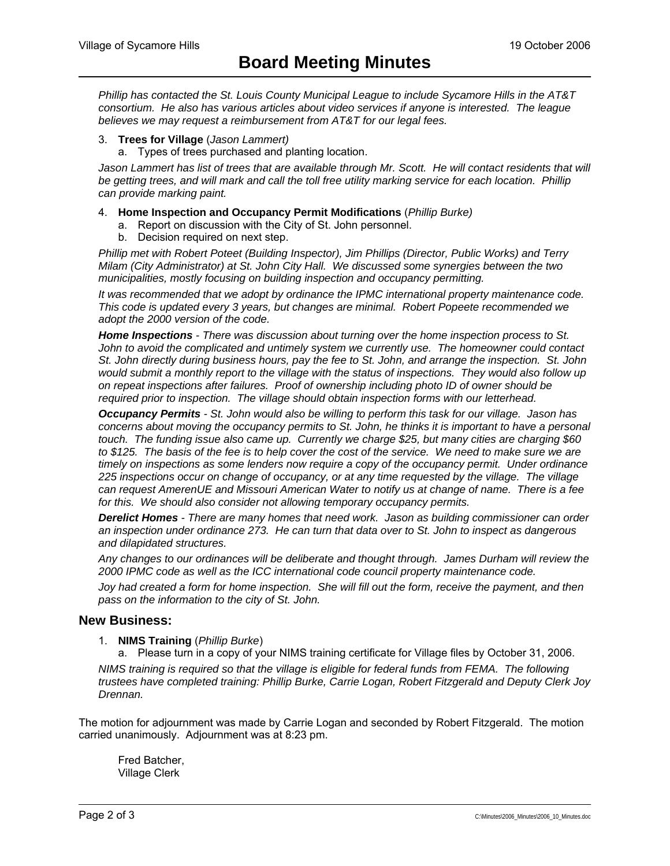*Phillip has contacted the St. Louis County Municipal League to include Sycamore Hills in the AT&T consortium. He also has various articles about video services if anyone is interested. The league believes we may request a reimbursement from AT&T for our legal fees.* 

- 3. **Trees for Village** (*Jason Lammert)*
	- a. Types of trees purchased and planting location.

Jason Lammert has list of trees that are available through Mr. Scott. He will contact residents that will *be getting trees, and will mark and call the toll free utility marking service for each location. Phillip can provide marking paint.* 

- 4. **Home Inspection and Occupancy Permit Modifications** (*Phillip Burke)*
	- a. Report on discussion with the City of St. John personnel.
	- b. Decision required on next step.

*Phillip met with Robert Poteet (Building Inspector), Jim Phillips (Director, Public Works) and Terry Milam (City Administrator) at St. John City Hall. We discussed some synergies between the two municipalities, mostly focusing on building inspection and occupancy permitting.* 

*It was recommended that we adopt by ordinance the IPMC international property maintenance code. This code is updated every 3 years, but changes are minimal. Robert Popeete recommended we adopt the 2000 version of the code.* 

*Home Inspections - There was discussion about turning over the home inspection process to St. John to avoid the complicated and untimely system we currently use. The homeowner could contact St. John directly during business hours, pay the fee to St. John, and arrange the inspection. St. John would submit a monthly report to the village with the status of inspections. They would also follow up on repeat inspections after failures. Proof of ownership including photo ID of owner should be required prior to inspection. The village should obtain inspection forms with our letterhead.* 

*Occupancy Permits - St. John would also be willing to perform this task for our village. Jason has concerns about moving the occupancy permits to St. John, he thinks it is important to have a personal touch. The funding issue also came up. Currently we charge \$25, but many cities are charging \$60 to \$125. The basis of the fee is to help cover the cost of the service. We need to make sure we are timely on inspections as some lenders now require a copy of the occupancy permit. Under ordinance 225 inspections occur on change of occupancy, or at any time requested by the village. The village can request AmerenUE and Missouri American Water to notify us at change of name. There is a fee for this. We should also consider not allowing temporary occupancy permits.* 

*Derelict Homes - There are many homes that need work. Jason as building commissioner can order an inspection under ordinance 273. He can turn that data over to St. John to inspect as dangerous and dilapidated structures.* 

*Any changes to our ordinances will be deliberate and thought through. James Durham will review the 2000 IPMC code as well as the ICC international code council property maintenance code.* 

*Joy had created a form for home inspection. She will fill out the form, receive the payment, and then pass on the information to the city of St. John.* 

#### **New Business:**

- 1. **NIMS Training** (*Phillip Burke*)
	- a. Please turn in a copy of your NIMS training certificate for Village files by October 31, 2006.

*NIMS training is required so that the village is eligible for federal funds from FEMA. The following trustees have completed training: Phillip Burke, Carrie Logan, Robert Fitzgerald and Deputy Clerk Joy Drennan.* 

The motion for adjournment was made by Carrie Logan and seconded by Robert Fitzgerald. The motion carried unanimously. Adjournment was at 8:23 pm.

 Fred Batcher, Village Clerk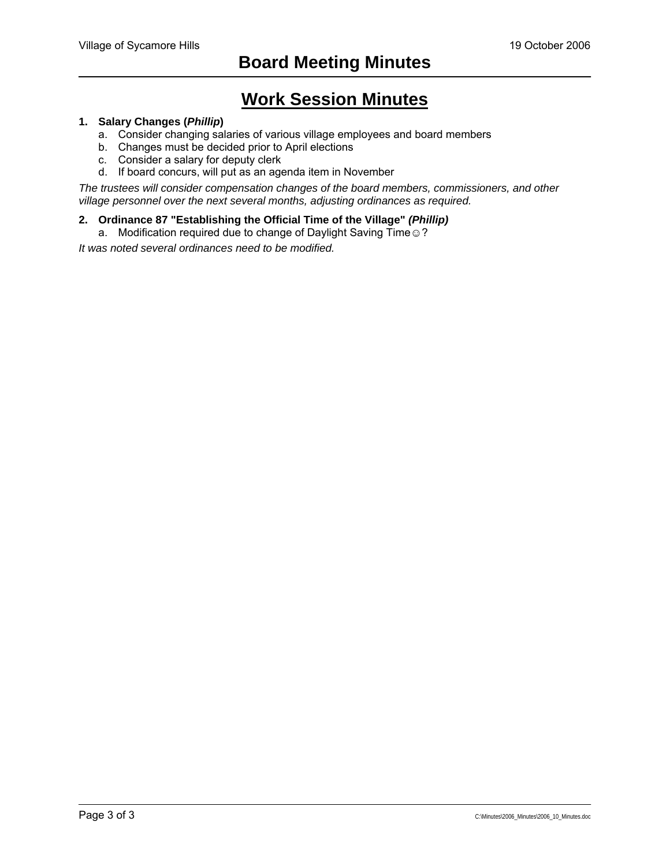## **Work Session Minutes**

#### **1. Salary Changes (***Phillip***)**

- a. Consider changing salaries of various village employees and board members
- b. Changes must be decided prior to April elections
- c. Consider a salary for deputy clerk
- d. If board concurs, will put as an agenda item in November

*The trustees will consider compensation changes of the board members, commissioners, and other village personnel over the next several months, adjusting ordinances as required.* 

#### **2. Ordinance 87 "Establishing the Official Time of the Village"** *(Phillip)*

a. Modification required due to change of Daylight Saving Time .?

*It was noted several ordinances need to be modified.*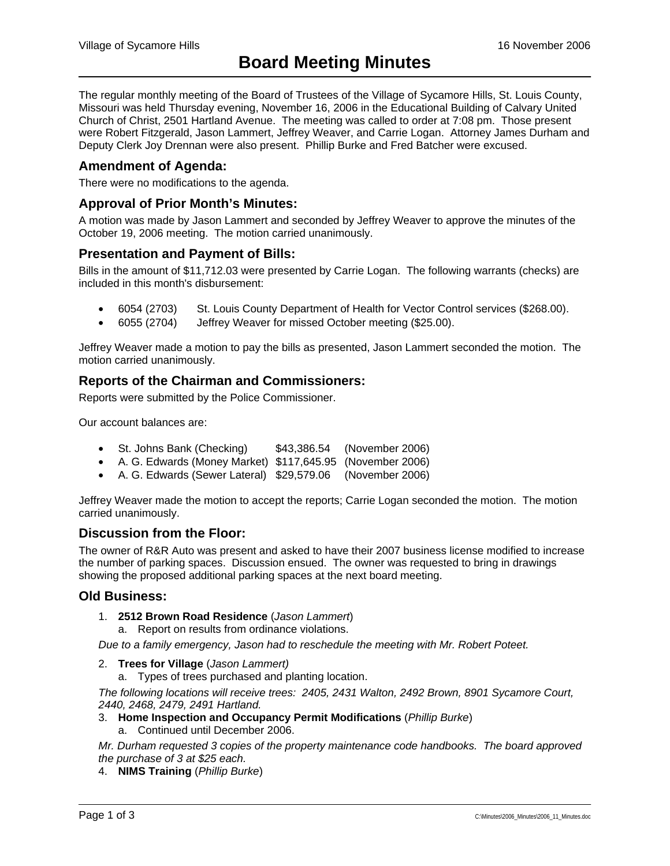The regular monthly meeting of the Board of Trustees of the Village of Sycamore Hills, St. Louis County, Missouri was held Thursday evening, November 16, 2006 in the Educational Building of Calvary United Church of Christ, 2501 Hartland Avenue. The meeting was called to order at 7:08 pm. Those present were Robert Fitzgerald, Jason Lammert, Jeffrey Weaver, and Carrie Logan. Attorney James Durham and Deputy Clerk Joy Drennan were also present. Phillip Burke and Fred Batcher were excused.

## **Amendment of Agenda:**

There were no modifications to the agenda.

## **Approval of Prior Month's Minutes:**

A motion was made by Jason Lammert and seconded by Jeffrey Weaver to approve the minutes of the October 19, 2006 meeting. The motion carried unanimously.

### **Presentation and Payment of Bills:**

Bills in the amount of \$11,712.03 were presented by Carrie Logan. The following warrants (checks) are included in this month's disbursement:

- 6054 (2703) St. Louis County Department of Health for Vector Control services (\$268.00).
- 6055 (2704) Jeffrey Weaver for missed October meeting (\$25.00).

Jeffrey Weaver made a motion to pay the bills as presented, Jason Lammert seconded the motion. The motion carried unanimously.

## **Reports of the Chairman and Commissioners:**

Reports were submitted by the Police Commissioner.

Our account balances are:

- St. Johns Bank (Checking) \$43,386.54 (November 2006)
- A. G. Edwards (Money Market) \$117,645.95 (November 2006)
- A. G. Edwards (Sewer Lateral) \$29,579.06 (November 2006)

Jeffrey Weaver made the motion to accept the reports; Carrie Logan seconded the motion. The motion carried unanimously.

#### **Discussion from the Floor:**

The owner of R&R Auto was present and asked to have their 2007 business license modified to increase the number of parking spaces. Discussion ensued. The owner was requested to bring in drawings showing the proposed additional parking spaces at the next board meeting.

#### **Old Business:**

- 1. **2512 Brown Road Residence** (*Jason Lammert*)
	- a. Report on results from ordinance violations.

*Due to a family emergency, Jason had to reschedule the meeting with Mr. Robert Poteet.* 

- 2. **Trees for Village** (*Jason Lammert)*
	- a. Types of trees purchased and planting location.

*The following locations will receive trees: 2405, 2431 Walton, 2492 Brown, 8901 Sycamore Court, 2440, 2468, 2479, 2491 Hartland.* 

- 3. **Home Inspection and Occupancy Permit Modifications** (*Phillip Burke*)
	- a. Continued until December 2006.

*Mr. Durham requested 3 copies of the property maintenance code handbooks. The board approved the purchase of 3 at \$25 each.* 

4. **NIMS Training** (*Phillip Burke*)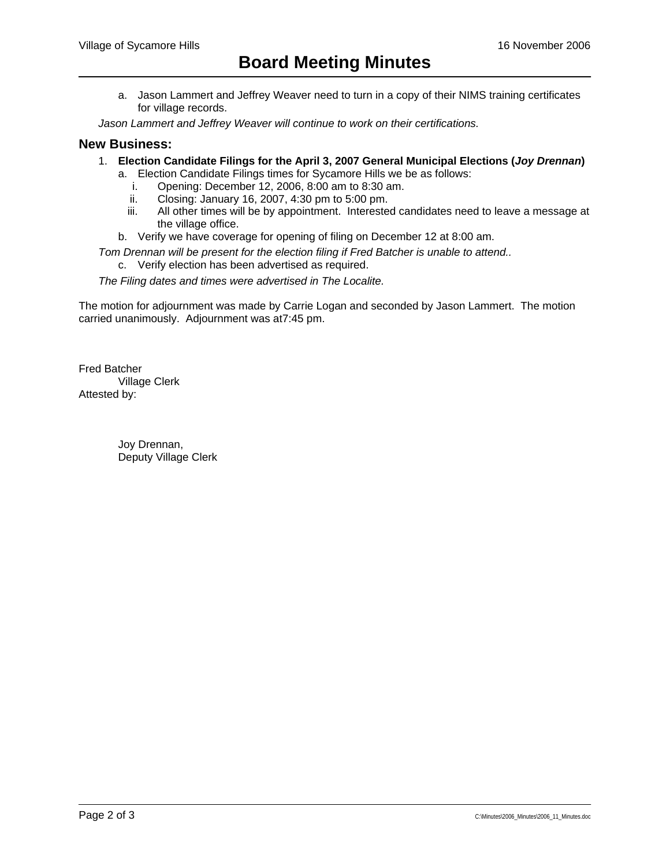a. Jason Lammert and Jeffrey Weaver need to turn in a copy of their NIMS training certificates for village records.

*Jason Lammert and Jeffrey Weaver will continue to work on their certifications.* 

### **New Business:**

- 1. **Election Candidate Filings for the April 3, 2007 General Municipal Elections (***Joy Drennan***)**
	- a. Election Candidate Filings times for Sycamore Hills we be as follows:
		- i. Opening: December 12, 2006, 8:00 am to 8:30 am.
		- ii. Closing: January 16, 2007, 4:30 pm to 5:00 pm.
		- iii. All other times will be by appointment. Interested candidates need to leave a message at the village office.
	- b. Verify we have coverage for opening of filing on December 12 at 8:00 am.

*Tom Drennan will be present for the election filing if Fred Batcher is unable to attend..*  c. Verify election has been advertised as required.

*The Filing dates and times were advertised in The Localite.* 

The motion for adjournment was made by Carrie Logan and seconded by Jason Lammert. The motion carried unanimously. Adjournment was at7:45 pm.

Fred Batcher Village Clerk Attested by:

> Joy Drennan, Deputy Village Clerk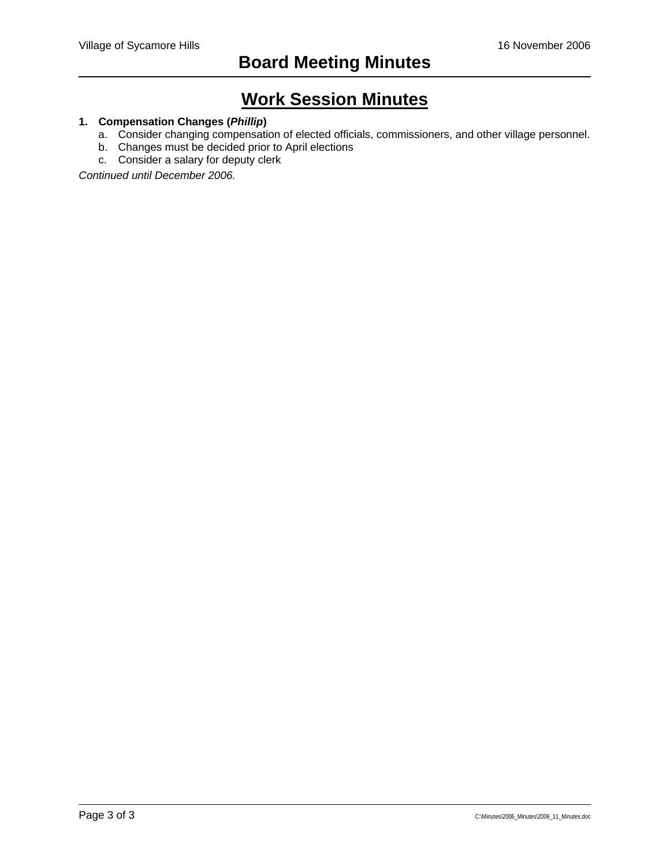## **Work Session Minutes**

## **1. Compensation Changes (***Phillip***)**

- a. Consider changing compensation of elected officials, commissioners, and other village personnel.
- b. Changes must be decided prior to April elections
- c. Consider a salary for deputy clerk

*Continued until December 2006.*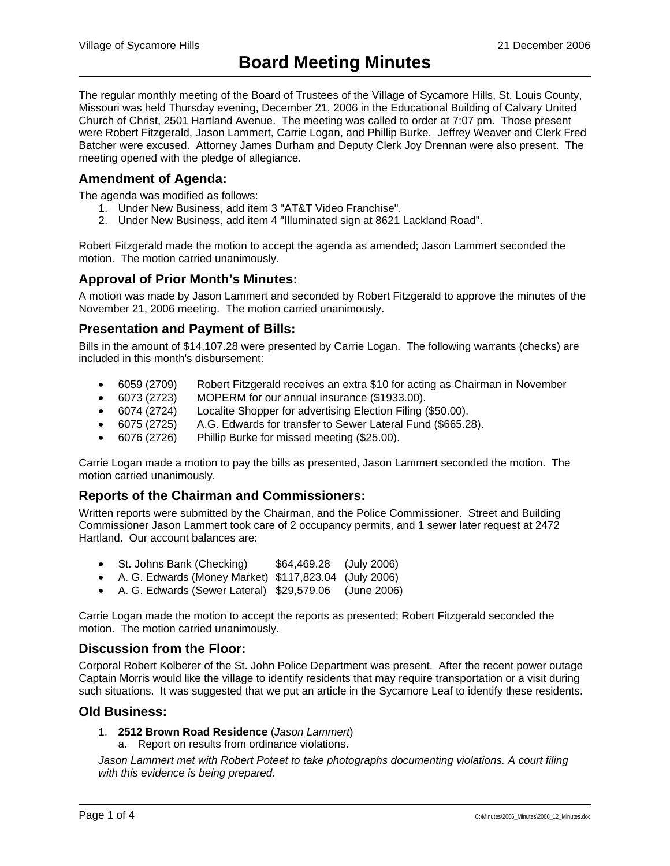The regular monthly meeting of the Board of Trustees of the Village of Sycamore Hills, St. Louis County, Missouri was held Thursday evening, December 21, 2006 in the Educational Building of Calvary United Church of Christ, 2501 Hartland Avenue. The meeting was called to order at 7:07 pm. Those present were Robert Fitzgerald, Jason Lammert, Carrie Logan, and Phillip Burke. Jeffrey Weaver and Clerk Fred Batcher were excused. Attorney James Durham and Deputy Clerk Joy Drennan were also present. The meeting opened with the pledge of allegiance.

## **Amendment of Agenda:**

The agenda was modified as follows:

- 1. Under New Business, add item 3 "AT&T Video Franchise".
- 2. Under New Business, add item 4 "Illuminated sign at 8621 Lackland Road".

Robert Fitzgerald made the motion to accept the agenda as amended; Jason Lammert seconded the motion. The motion carried unanimously.

## **Approval of Prior Month's Minutes:**

A motion was made by Jason Lammert and seconded by Robert Fitzgerald to approve the minutes of the November 21, 2006 meeting. The motion carried unanimously.

## **Presentation and Payment of Bills:**

Bills in the amount of \$14,107.28 were presented by Carrie Logan. The following warrants (checks) are included in this month's disbursement:

- 6059 (2709) Robert Fitzgerald receives an extra \$10 for acting as Chairman in November
- 6073 (2723) MOPERM for our annual insurance (\$1933.00).
- 6074 (2724) Localite Shopper for advertising Election Filing (\$50.00).
- 6075 (2725) A.G. Edwards for transfer to Sewer Lateral Fund (\$665.28).
- 6076 (2726) Phillip Burke for missed meeting (\$25.00).

Carrie Logan made a motion to pay the bills as presented, Jason Lammert seconded the motion. The motion carried unanimously.

## **Reports of the Chairman and Commissioners:**

Written reports were submitted by the Chairman, and the Police Commissioner. Street and Building Commissioner Jason Lammert took care of 2 occupancy permits, and 1 sewer later request at 2472 Hartland. Our account balances are:

- St. Johns Bank (Checking) \$64,469.28 (July 2006)
- A. G. Edwards (Money Market) \$117,823.04 (July 2006)
- A. G. Edwards (Sewer Lateral) \$29,579.06 (June 2006)

Carrie Logan made the motion to accept the reports as presented; Robert Fitzgerald seconded the motion. The motion carried unanimously.

### **Discussion from the Floor:**

Corporal Robert Kolberer of the St. John Police Department was present. After the recent power outage Captain Morris would like the village to identify residents that may require transportation or a visit during such situations. It was suggested that we put an article in the Sycamore Leaf to identify these residents.

#### **Old Business:**

- 1. **2512 Brown Road Residence** (*Jason Lammert*)
	- a. Report on results from ordinance violations.

*Jason Lammert met with Robert Poteet to take photographs documenting violations. A court filing with this evidence is being prepared.*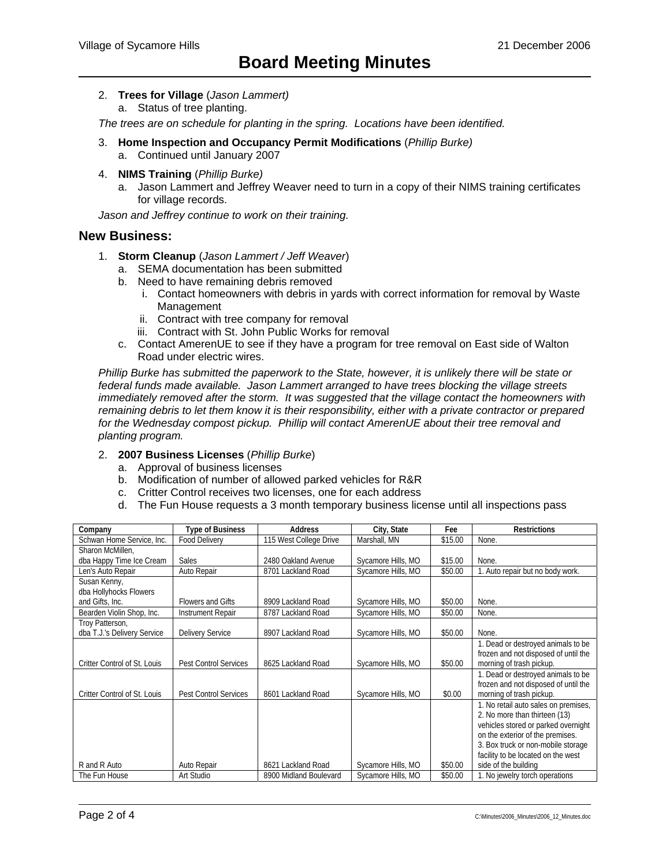- 2. **Trees for Village** (*Jason Lammert)*
	- a. Status of tree planting.

*The trees are on schedule for planting in the spring. Locations have been identified.* 

- 3. **Home Inspection and Occupancy Permit Modifications** (*Phillip Burke)* a. Continued until January 2007
- 4. **NIMS Training** (*Phillip Burke)*
	- a. Jason Lammert and Jeffrey Weaver need to turn in a copy of their NIMS training certificates for village records.

*Jason and Jeffrey continue to work on their training.* 

#### **New Business:**

- 1. **Storm Cleanup** (*Jason Lammert / Jeff Weaver*)
	- a. SEMA documentation has been submitted
	- b. Need to have remaining debris removed
		- i. Contact homeowners with debris in yards with correct information for removal by Waste Management
		- ii. Contract with tree company for removal
		- iii. Contract with St. John Public Works for removal
	- c. Contact AmerenUE to see if they have a program for tree removal on East side of Walton Road under electric wires.

*Phillip Burke has submitted the paperwork to the State, however, it is unlikely there will be state or federal funds made available. Jason Lammert arranged to have trees blocking the village streets immediately removed after the storm. It was suggested that the village contact the homeowners with remaining debris to let them know it is their responsibility, either with a private contractor or prepared for the Wednesday compost pickup. Phillip will contact AmerenUE about their tree removal and planting program.* 

#### 2. **2007 Business Licenses** (*Phillip Burke*)

- a. Approval of business licenses
- b. Modification of number of allowed parked vehicles for R&R
- c. Critter Control receives two licenses, one for each address
- d. The Fun House requests a 3 month temporary business license until all inspections pass

| Company                      | <b>Type of Business</b>      | <b>Address</b>         | City, State        | Fee     | <b>Restrictions</b>                  |
|------------------------------|------------------------------|------------------------|--------------------|---------|--------------------------------------|
| Schwan Home Service, Inc.    | <b>Food Delivery</b>         | 115 West College Drive | Marshall, MN       | \$15.00 | None.                                |
| Sharon McMillen.             |                              |                        |                    |         |                                      |
| dba Happy Time Ice Cream     | Sales                        | 2480 Oakland Avenue    | Sycamore Hills, MO | \$15.00 | None.                                |
| Len's Auto Repair            | Auto Repair                  | 8701 Lackland Road     | Sycamore Hills, MO | \$50.00 | 1. Auto repair but no body work.     |
| Susan Kenny,                 |                              |                        |                    |         |                                      |
| dba Hollyhocks Flowers       |                              |                        |                    |         |                                      |
| and Gifts, Inc.              | <b>Flowers and Gifts</b>     | 8909 Lackland Road     | Sycamore Hills, MO | \$50.00 | None.                                |
| Bearden Violin Shop, Inc.    | <b>Instrument Repair</b>     | 8787 Lackland Road     | Sycamore Hills, MO | \$50.00 | None.                                |
| Troy Patterson,              |                              |                        |                    |         |                                      |
| dba T.J.'s Delivery Service  | <b>Delivery Service</b>      | 8907 Lackland Road     | Sycamore Hills, MO | \$50.00 | None.                                |
|                              |                              |                        |                    |         | 1. Dead or destroyed animals to be   |
|                              |                              |                        |                    |         | frozen and not disposed of until the |
| Critter Control of St. Louis | <b>Pest Control Services</b> | 8625 Lackland Road     | Sycamore Hills, MO | \$50.00 | morning of trash pickup.             |
|                              |                              |                        |                    |         | 1. Dead or destroyed animals to be   |
|                              |                              |                        |                    |         | frozen and not disposed of until the |
| Critter Control of St. Louis | <b>Pest Control Services</b> | 8601 Lackland Road     | Sycamore Hills, MO | \$0.00  | morning of trash pickup.             |
|                              |                              |                        |                    |         | 1. No retail auto sales on premises, |
|                              |                              |                        |                    |         | 2. No more than thirteen (13)        |
|                              |                              |                        |                    |         | vehicles stored or parked overnight  |
|                              |                              |                        |                    |         | on the exterior of the premises.     |
|                              |                              |                        |                    |         | 3. Box truck or non-mobile storage   |
|                              |                              |                        |                    |         | facility to be located on the west   |
| R and R Auto                 | Auto Repair                  | 8621 Lackland Road     | Sycamore Hills, MO | \$50.00 | side of the building                 |
| The Fun House                | Art Studio                   | 8900 Midland Boulevard | Sycamore Hills, MO | \$50.00 | 1. No jewelry torch operations       |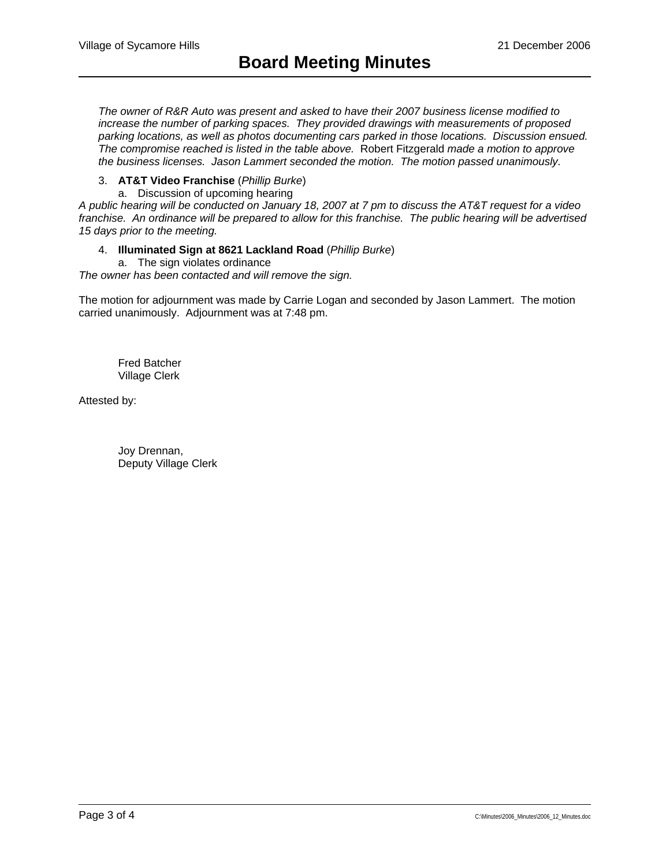*The owner of R&R Auto was present and asked to have their 2007 business license modified to increase the number of parking spaces. They provided drawings with measurements of proposed parking locations, as well as photos documenting cars parked in those locations. Discussion ensued. The compromise reached is listed in the table above.* Robert Fitzgerald *made a motion to approve the business licenses. Jason Lammert seconded the motion. The motion passed unanimously.* 

## 3. **AT&T Video Franchise** (*Phillip Burke*)

a. Discussion of upcoming hearing

*A public hearing will be conducted on January 18, 2007 at 7 pm to discuss the AT&T request for a video franchise. An ordinance will be prepared to allow for this franchise. The public hearing will be advertised 15 days prior to the meeting.* 

#### 4. **Illuminated Sign at 8621 Lackland Road** (*Phillip Burke*)

a. The sign violates ordinance

*The owner has been contacted and will remove the sign.* 

The motion for adjournment was made by Carrie Logan and seconded by Jason Lammert. The motion carried unanimously. Adjournment was at 7:48 pm.

 Fred Batcher Village Clerk

Attested by:

 Joy Drennan, Deputy Village Clerk